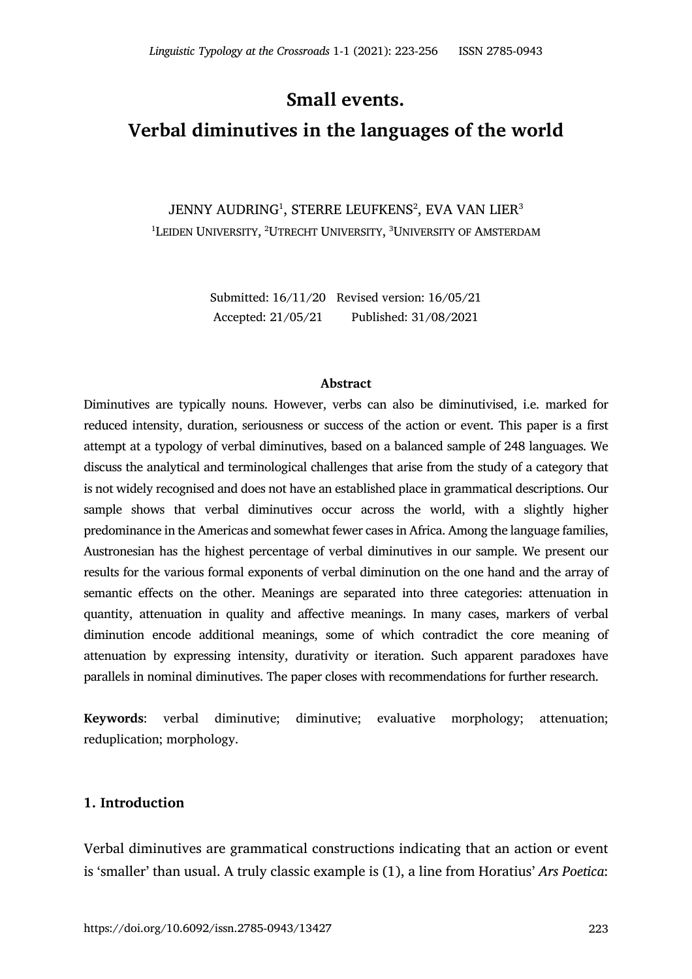**Small events.** 

# **Verbal diminutives in the languages of the world**

JENNY AUDRING $^{\rm 1}$ , STERRE LEUFKENS $^{\rm 2}$ , EVA VAN LIER $^{\rm 3}$  $^{\rm 1}$ Leiden University,  $^{\rm 2}$ Utrecht University,  $^{\rm 3}$ University of Amsterdam

> Submitted: 16/11/20 Revised version: 16/05/21 Accepted: 21/05/21 Published: 31/08/2021

#### **Abstract**

Diminutives are typically nouns. However, verbs can also be diminutivised, i.e. marked for reduced intensity, duration, seriousness or success of the action or event. This paper is a first attempt at a typology of verbal diminutives, based on a balanced sample of 248 languages. We discuss the analytical and terminological challenges that arise from the study of a category that is not widely recognised and does not have an established place in grammatical descriptions. Our sample shows that verbal diminutives occur across the world, with a slightly higher predominance in the Americas and somewhat fewer cases in Africa. Among the language families, Austronesian has the highest percentage of verbal diminutives in our sample. We present our results for the various formal exponents of verbal diminution on the one hand and the array of semantic effects on the other. Meanings are separated into three categories: attenuation in quantity, attenuation in quality and affective meanings. In many cases, markers of verbal diminution encode additional meanings, some of which contradict the core meaning of attenuation by expressing intensity, durativity or iteration. Such apparent paradoxes have parallels in nominal diminutives. The paper closes with recommendations for further research.

**Keywords**: verbal diminutive; diminutive; evaluative morphology; attenuation; reduplication; morphology.

## **1. Introduction**

Verbal diminutives are grammatical constructions indicating that an action or event is 'smaller' than usual. A truly classic example is (1), a line from Horatius' *Ars Poetica*: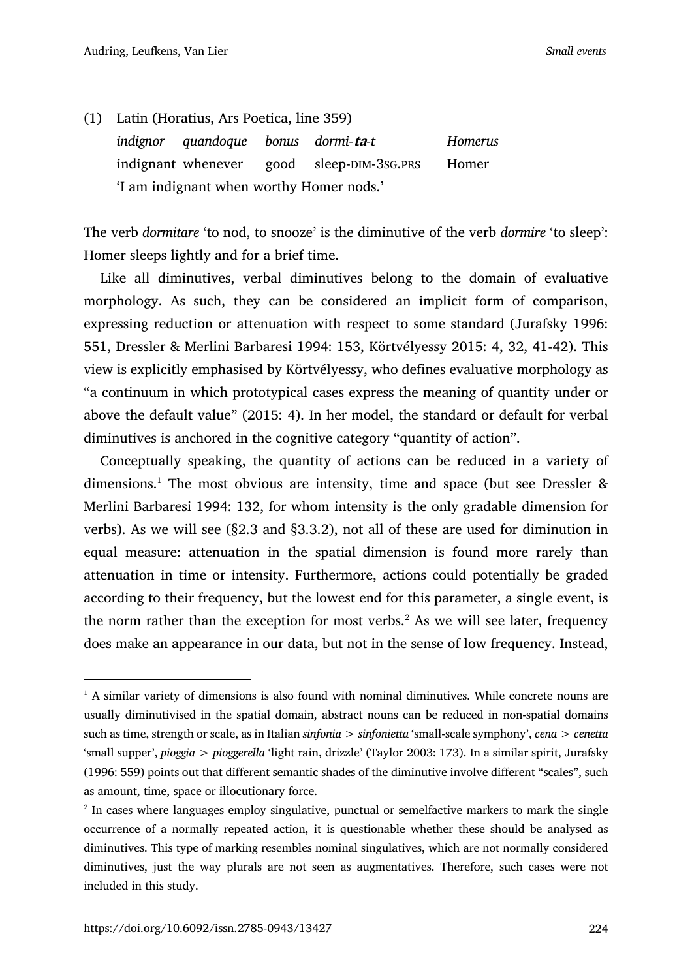(1) Latin (Horatius, Ars Poetica, line 359) *indignor quandoque bonus dormi-***ta***-t Homerus* indignant whenever good sleep-DIM-3SG.PRS Homer 'I am indignant when worthy Homer nods.'

The verb *dormitare* 'to nod, to snooze' is the diminutive of the verb *dormire* 'to sleep': Homer sleeps lightly and for a brief time.

Like all diminutives, verbal diminutives belong to the domain of evaluative morphology. As such, they can be considered an implicit form of comparison, expressing reduction or attenuation with respect to some standard (Jurafsky 1996: 551, Dressler & Merlini Barbaresi 1994: 153, Körtvélyessy 2015: 4, 32, 41-42). This view is explicitly emphasised by Körtvélyessy, who defines evaluative morphology as "a continuum in which prototypical cases express the meaning of quantity under or above the default value" (2015: 4). In her model, the standard or default for verbal diminutives is anchored in the cognitive category "quantity of action".

Conceptually speaking, the quantity of actions can be reduced in a variety of dimensions.<sup>1</sup> The most obvious are intensity, time and space (but see Dressler  $\&$ Merlini Barbaresi 1994: 132, for whom intensity is the only gradable dimension for verbs). As we will see (§2.3 and §3.3.2), not all of these are used for diminution in equal measure: attenuation in the spatial dimension is found more rarely than attenuation in time or intensity. Furthermore, actions could potentially be graded according to their frequency, but the lowest end for this parameter, a single event, is the norm rather than the exception for most verbs.<sup>2</sup> As we will see later, frequency does make an appearance in our data, but not in the sense of low frequency. Instead,

 $<sup>1</sup>$  A similar variety of dimensions is also found with nominal diminutives. While concrete nouns are</sup> usually diminutivised in the spatial domain, abstract nouns can be reduced in non-spatial domains such as time, strength or scale, as in Italian *sinfonia* > *sinfonietta* 'small-scale symphony', *cena* > *cenetta*  'small supper', *pioggia* > *pioggerella* 'light rain, drizzle' (Taylor 2003: 173). In a similar spirit, Jurafsky (1996: 559) points out that different semantic shades of the diminutive involve different "scales", such as amount, time, space or illocutionary force.

<sup>&</sup>lt;sup>2</sup> In cases where languages employ singulative, punctual or semelfactive markers to mark the single occurrence of a normally repeated action, it is questionable whether these should be analysed as diminutives. This type of marking resembles nominal singulatives, which are not normally considered diminutives, just the way plurals are not seen as augmentatives. Therefore, such cases were not included in this study.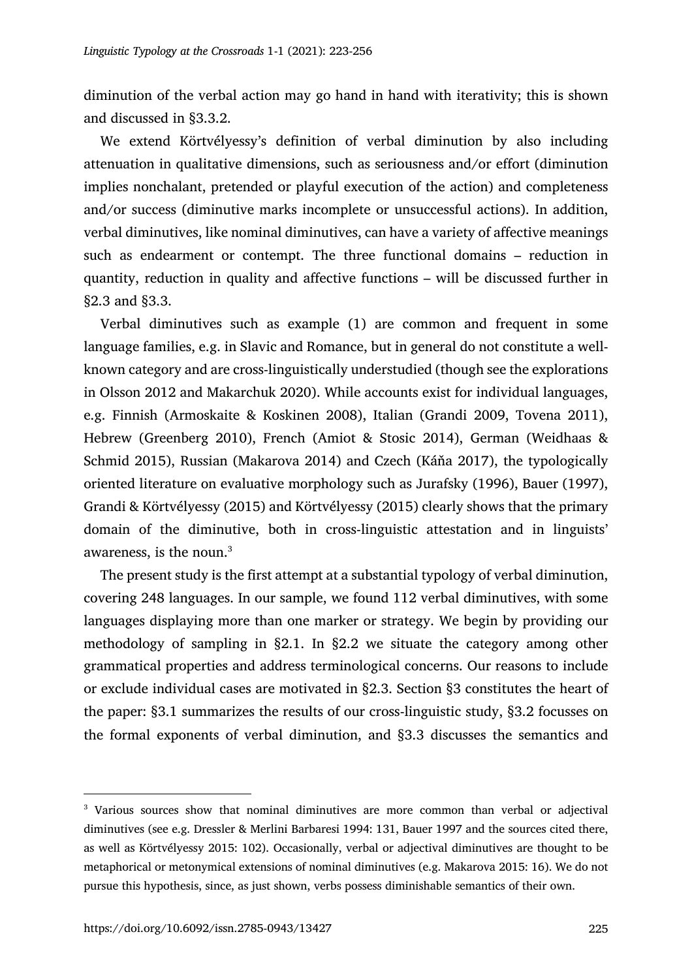diminution of the verbal action may go hand in hand with iterativity; this is shown and discussed in §3.3.2.

We extend Körtvélyessy's definition of verbal diminution by also including attenuation in qualitative dimensions, such as seriousness and/or effort (diminution implies nonchalant, pretended or playful execution of the action) and completeness and/or success (diminutive marks incomplete or unsuccessful actions). In addition, verbal diminutives, like nominal diminutives, can have a variety of affective meanings such as endearment or contempt. The three functional domains – reduction in quantity, reduction in quality and affective functions – will be discussed further in §2.3 and §3.3.

Verbal diminutives such as example (1) are common and frequent in some language families, e.g. in Slavic and Romance, but in general do not constitute a wellknown category and are cross-linguistically understudied (though see the explorations in Olsson 2012 and Makarchuk 2020). While accounts exist for individual languages, e.g. Finnish (Armoskaite & Koskinen 2008), Italian (Grandi 2009, Tovena 2011), Hebrew (Greenberg 2010), French (Amiot & Stosic 2014), German (Weidhaas & Schmid 2015), Russian (Makarova 2014) and Czech (Káňa 2017), the typologically oriented literature on evaluative morphology such as Jurafsky (1996), Bauer (1997), Grandi & Körtvélyessy (2015) and Körtvélyessy (2015) clearly shows that the primary domain of the diminutive, both in cross-linguistic attestation and in linguists' awareness, is the noun.<sup>3</sup>

The present study is the first attempt at a substantial typology of verbal diminution, covering 248 languages. In our sample, we found 112 verbal diminutives, with some languages displaying more than one marker or strategy. We begin by providing our methodology of sampling in §2.1. In §2.2 we situate the category among other grammatical properties and address terminological concerns. Our reasons to include or exclude individual cases are motivated in §2.3. Section §3 constitutes the heart of the paper: §3.1 summarizes the results of our cross-linguistic study, §3.2 focusses on the formal exponents of verbal diminution, and §3.3 discusses the semantics and

<sup>&</sup>lt;sup>3</sup> Various sources show that nominal diminutives are more common than verbal or adjectival diminutives (see e.g. Dressler & Merlini Barbaresi 1994: 131, Bauer 1997 and the sources cited there, as well as Körtvélyessy 2015: 102). Occasionally, verbal or adjectival diminutives are thought to be metaphorical or metonymical extensions of nominal diminutives (e.g. Makarova 2015: 16). We do not pursue this hypothesis, since, as just shown, verbs possess diminishable semantics of their own.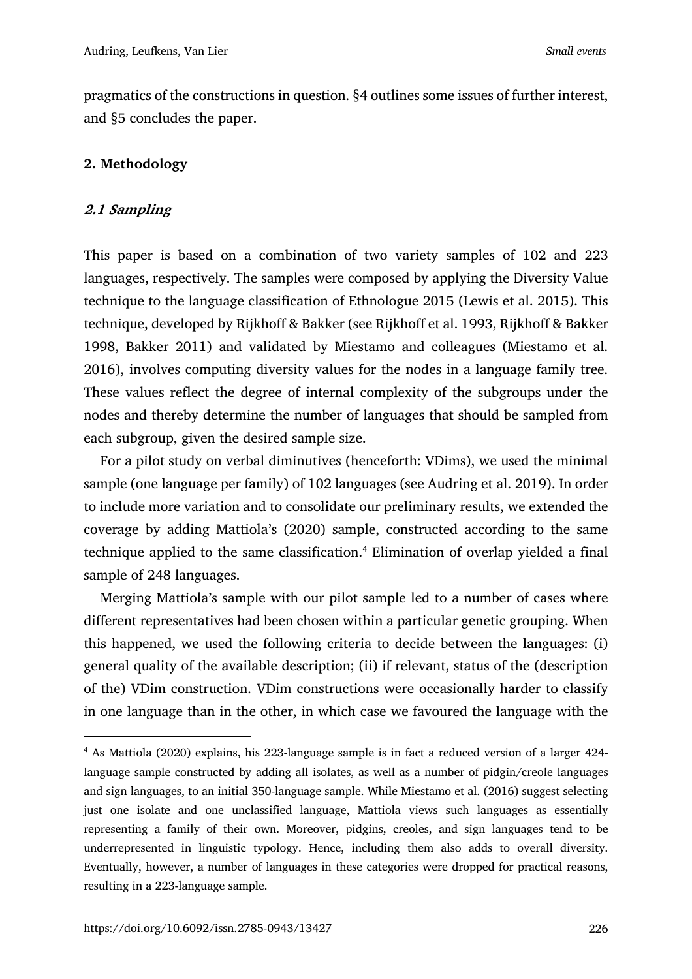pragmatics of the constructions in question. §4 outlines some issues of further interest, and §5 concludes the paper.

## **2. Methodology**

## **2.1 Sampling**

This paper is based on a combination of two variety samples of 102 and 223 languages, respectively. The samples were composed by applying the Diversity Value technique to the language classification of Ethnologue 2015 (Lewis et al. 2015). This technique, developed by Rijkhoff & Bakker (see Rijkhoff et al. 1993, Rijkhoff & Bakker 1998, Bakker 2011) and validated by Miestamo and colleagues (Miestamo et al. 2016), involves computing diversity values for the nodes in a language family tree. These values reflect the degree of internal complexity of the subgroups under the nodes and thereby determine the number of languages that should be sampled from each subgroup, given the desired sample size.

For a pilot study on verbal diminutives (henceforth: VDims), we used the minimal sample (one language per family) of 102 languages (see Audring et al. 2019). In order to include more variation and to consolidate our preliminary results, we extended the coverage by adding Mattiola's (2020) sample, constructed according to the same technique applied to the same classification.<sup>4</sup> Elimination of overlap yielded a final sample of 248 languages.

Merging Mattiola's sample with our pilot sample led to a number of cases where different representatives had been chosen within a particular genetic grouping. When this happened, we used the following criteria to decide between the languages: (i) general quality of the available description; (ii) if relevant, status of the (description of the) VDim construction. VDim constructions were occasionally harder to classify in one language than in the other, in which case we favoured the language with the

<sup>4</sup> As Mattiola (2020) explains, his 223-language sample is in fact a reduced version of a larger 424 language sample constructed by adding all isolates, as well as a number of pidgin/creole languages and sign languages, to an initial 350-language sample. While Miestamo et al. (2016) suggest selecting just one isolate and one unclassified language, Mattiola views such languages as essentially representing a family of their own. Moreover, pidgins, creoles, and sign languages tend to be underrepresented in linguistic typology. Hence, including them also adds to overall diversity. Eventually, however, a number of languages in these categories were dropped for practical reasons, resulting in a 223-language sample.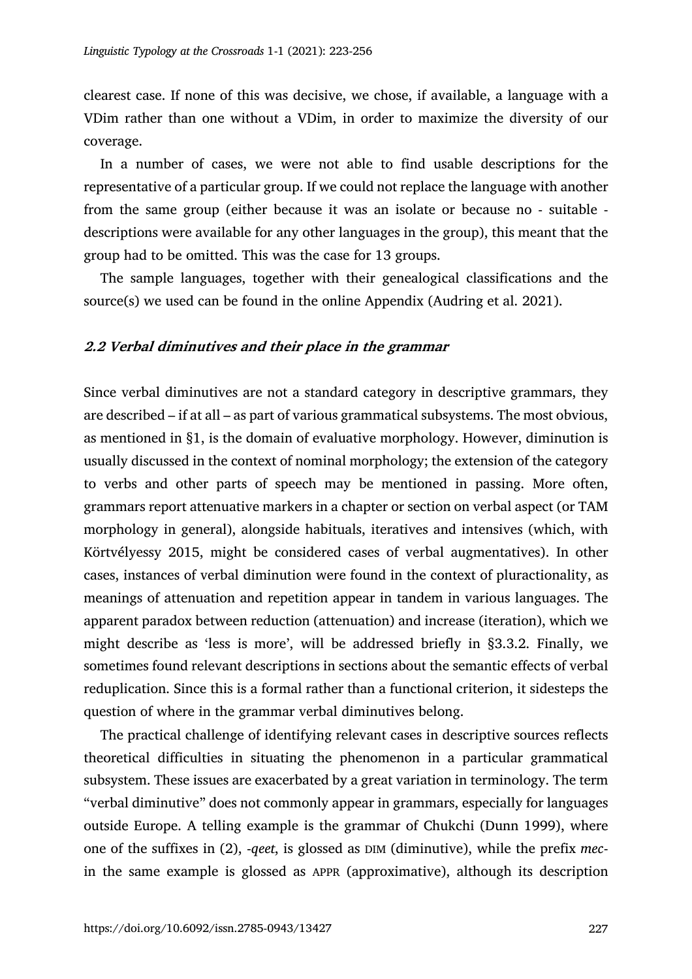clearest case. If none of this was decisive, we chose, if available, a language with a VDim rather than one without a VDim, in order to maximize the diversity of our coverage.

In a number of cases, we were not able to find usable descriptions for the representative of a particular group. If we could not replace the language with another from the same group (either because it was an isolate or because no - suitable descriptions were available for any other languages in the group), this meant that the group had to be omitted. This was the case for 13 groups.

The sample languages, together with their genealogical classifications and the source(s) we used can be found in the online Appendix (Audring et al. 2021).

#### **2.2 Verbal diminutives and their place in the grammar**

Since verbal diminutives are not a standard category in descriptive grammars, they are described – if at all – as part of various grammatical subsystems. The most obvious, as mentioned in §1, is the domain of evaluative morphology. However, diminution is usually discussed in the context of nominal morphology; the extension of the category to verbs and other parts of speech may be mentioned in passing. More often, grammars report attenuative markers in a chapter or section on verbal aspect (or TAM morphology in general), alongside habituals, iteratives and intensives (which, with Körtvélyessy 2015, might be considered cases of verbal augmentatives). In other cases, instances of verbal diminution were found in the context of pluractionality, as meanings of attenuation and repetition appear in tandem in various languages. The apparent paradox between reduction (attenuation) and increase (iteration), which we might describe as 'less is more', will be addressed briefly in §3.3.2. Finally, we sometimes found relevant descriptions in sections about the semantic effects of verbal reduplication. Since this is a formal rather than a functional criterion, it sidesteps the question of where in the grammar verbal diminutives belong.

The practical challenge of identifying relevant cases in descriptive sources reflects theoretical difficulties in situating the phenomenon in a particular grammatical subsystem. These issues are exacerbated by a great variation in terminology. The term "verbal diminutive" does not commonly appear in grammars, especially for languages outside Europe. A telling example is the grammar of Chukchi (Dunn 1999), where one of the suffixes in (2), -*qeet*, is glossed as DIM (diminutive), while the prefix *mec*in the same example is glossed as APPR (approximative), although its description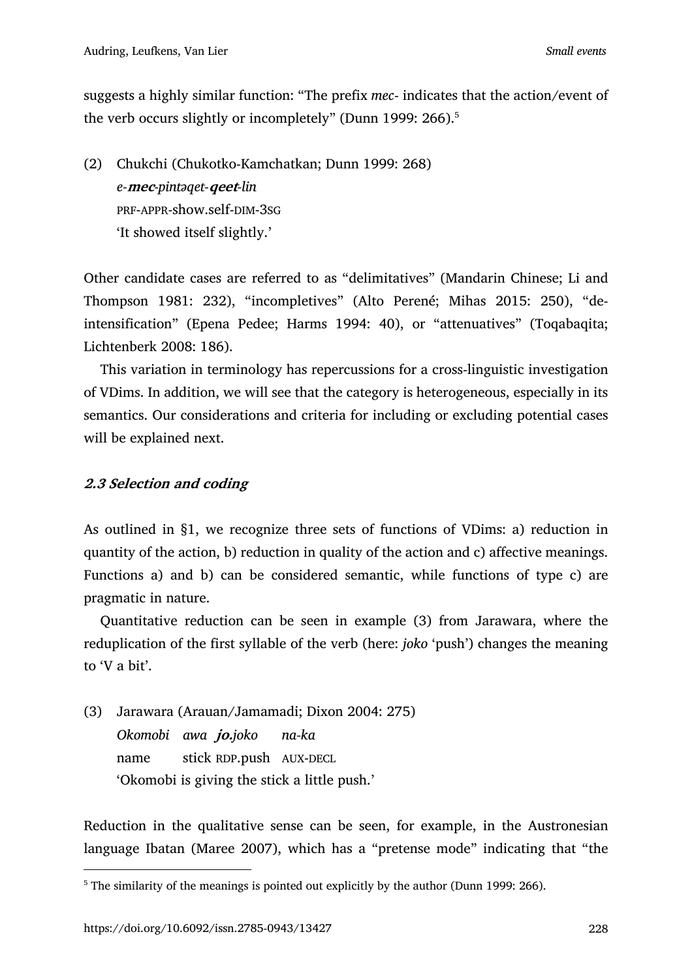suggests a highly similar function: "The prefix *mec*- indicates that the action/event of the verb occurs slightly or incompletely" (Dunn 1999: 266).<sup>5</sup>

(2) Chukchi (Chukotko-Kamchatkan; Dunn 1999: 268) *e-***mec***-pintəqet-***qeet***-lin* PRF-APPR-show.self-DIM-3SG 'It showed itself slightly.'

Other candidate cases are referred to as "delimitatives" (Mandarin Chinese; Li and Thompson 1981: 232), "incompletives" (Alto Perené; Mihas 2015: 250), "deintensification" (Epena Pedee; Harms 1994: 40), or "attenuatives" (Toqabaqita; Lichtenberk 2008: 186).

This variation in terminology has repercussions for a cross-linguistic investigation of VDims. In addition, we will see that the category is heterogeneous, especially in its semantics. Our considerations and criteria for including or excluding potential cases will be explained next.

## **2.3 Selection and coding**

As outlined in §1, we recognize three sets of functions of VDims: a) reduction in quantity of the action, b) reduction in quality of the action and c) affective meanings. Functions a) and b) can be considered semantic, while functions of type c) are pragmatic in nature.

Quantitative reduction can be seen in example (3) from Jarawara, where the reduplication of the first syllable of the verb (here: *joko* 'push') changes the meaning to 'V a bit'.

(3) Jarawara (Arauan/Jamamadi; Dixon 2004: 275) *Okomobi awa* **jo.***joko na-ka* name stick RDP.push AUX-DECL 'Okomobi is giving the stick a little push.'

Reduction in the qualitative sense can be seen, for example, in the Austronesian language Ibatan (Maree 2007), which has a "pretense mode" indicating that "the

<sup>&</sup>lt;sup>5</sup> The similarity of the meanings is pointed out explicitly by the author (Dunn 1999: 266).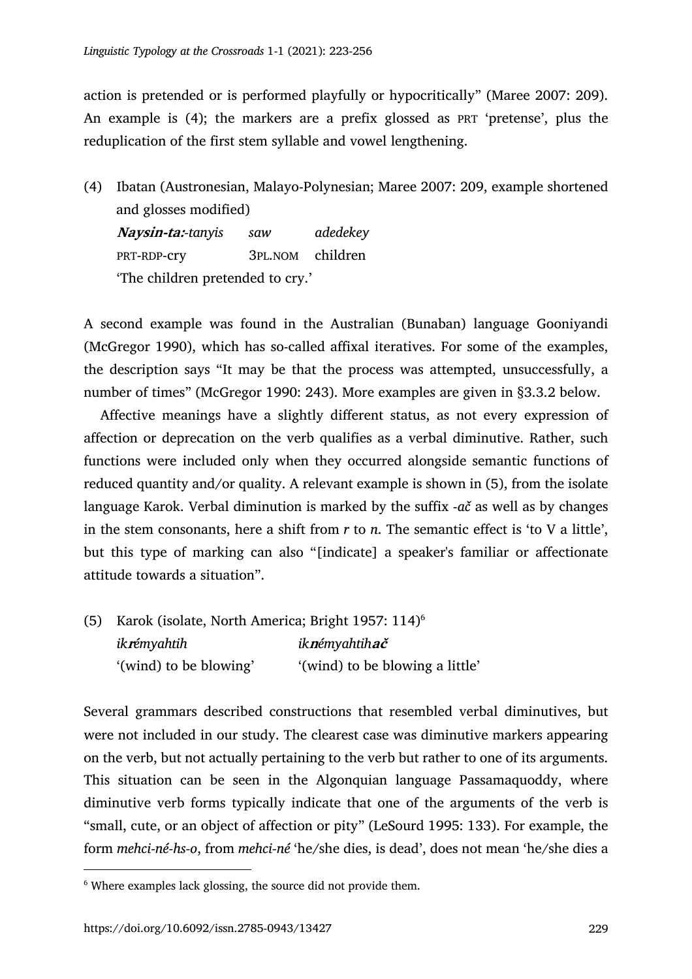action is pretended or is performed playfully or hypocritically" (Maree 2007: 209). An example is (4); the markers are a prefix glossed as PRT 'pretense', plus the reduplication of the first stem syllable and vowel lengthening.

(4) Ibatan (Austronesian, Malayo-Polynesian; Maree 2007: 209, example shortened and glosses modified) **Naysin-ta:***-tanyis saw adedekey* PRT-RDP-cry 3PL.NOM children 'The children pretended to cry.'

A second example was found in the Australian (Bunaban) language Gooniyandi (McGregor 1990), which has so-called affixal iteratives. For some of the examples, the description says "It may be that the process was attempted, unsuccessfully, a number of times" (McGregor 1990: 243). More examples are given in §3.3.2 below.

Affective meanings have a slightly different status, as not every expression of affection or deprecation on the verb qualifies as a verbal diminutive. Rather, such functions were included only when they occurred alongside semantic functions of reduced quantity and/or quality. A relevant example is shown in (5), from the isolate language Karok. Verbal diminution is marked by the suffix -*ač* as well as by changes in the stem consonants, here a shift from *r* to *n*. The semantic effect is 'to V a little', but this type of marking can also "[indicate] a speaker's familiar or affectionate attitude towards a situation".

(5) Karok (isolate, North America; Bright 1957: 114)6 *ik***r***émyahtih ik***n***émyahtih***ač** '(wind) to be blowing' (wind) to be blowing a little'

Several grammars described constructions that resembled verbal diminutives, but were not included in our study. The clearest case was diminutive markers appearing on the verb, but not actually pertaining to the verb but rather to one of its arguments. This situation can be seen in the Algonquian language Passamaquoddy, where diminutive verb forms typically indicate that one of the arguments of the verb is "small, cute, or an object of affection or pity" (LeSourd 1995: 133). For example, the form *mehci-né-hs-o*, from *mehci-né* 'he/she dies, is dead', does not mean 'he/she dies a

<sup>&</sup>lt;sup>6</sup> Where examples lack glossing, the source did not provide them.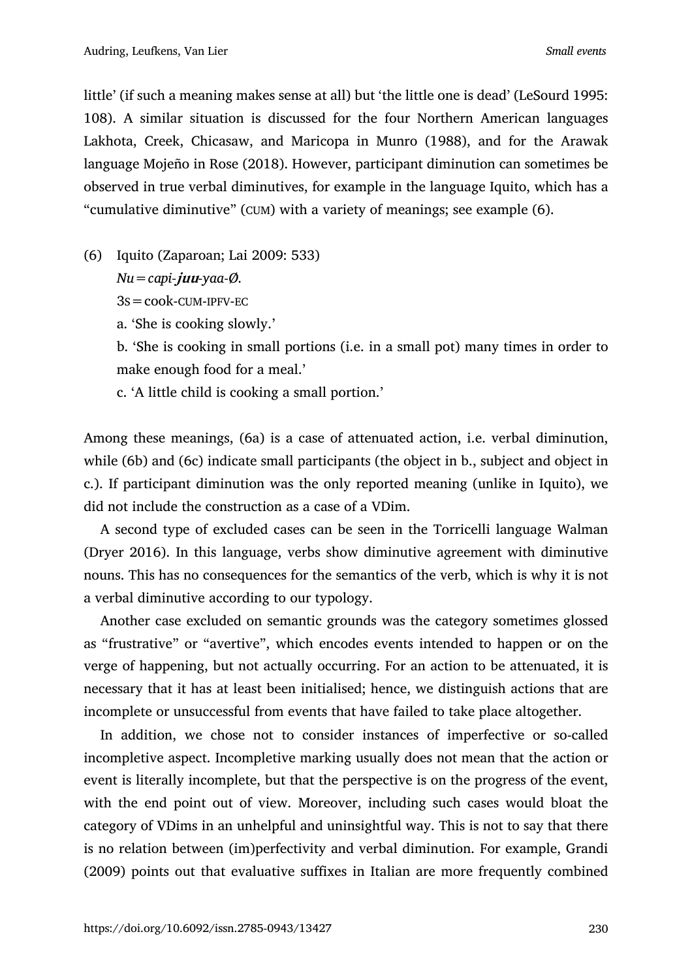little' (if such a meaning makes sense at all) but 'the little one is dead' (LeSourd 1995: 108). A similar situation is discussed for the four Northern American languages Lakhota, Creek, Chicasaw, and Maricopa in Munro (1988), and for the Arawak language Mojeño in Rose (2018). However, participant diminution can sometimes be observed in true verbal diminutives, for example in the language Iquito, which has a "cumulative diminutive" (CUM) with a variety of meanings; see example (6).

(6) Iquito (Zaparoan; Lai 2009: 533)

*Nu=capi-***juu***-yaa-Ø.*

 $3s = \text{cook-CUM-IPFV-EC}$ 

a. 'She is cooking slowly.'

b. 'She is cooking in small portions (i.e. in a small pot) many times in order to make enough food for a meal.'

c. 'A little child is cooking a small portion.'

Among these meanings, (6a) is a case of attenuated action, i.e. verbal diminution, while (6b) and (6c) indicate small participants (the object in b., subject and object in c.). If participant diminution was the only reported meaning (unlike in Iquito), we did not include the construction as a case of a VDim.

A second type of excluded cases can be seen in the Torricelli language Walman (Dryer 2016). In this language, verbs show diminutive agreement with diminutive nouns. This has no consequences for the semantics of the verb, which is why it is not a verbal diminutive according to our typology.

Another case excluded on semantic grounds was the category sometimes glossed as "frustrative" or "avertive", which encodes events intended to happen or on the verge of happening, but not actually occurring. For an action to be attenuated, it is necessary that it has at least been initialised; hence, we distinguish actions that are incomplete or unsuccessful from events that have failed to take place altogether.

In addition, we chose not to consider instances of imperfective or so-called incompletive aspect. Incompletive marking usually does not mean that the action or event is literally incomplete, but that the perspective is on the progress of the event, with the end point out of view. Moreover, including such cases would bloat the category of VDims in an unhelpful and uninsightful way. This is not to say that there is no relation between (im)perfectivity and verbal diminution. For example, Grandi (2009) points out that evaluative suffixes in Italian are more frequently combined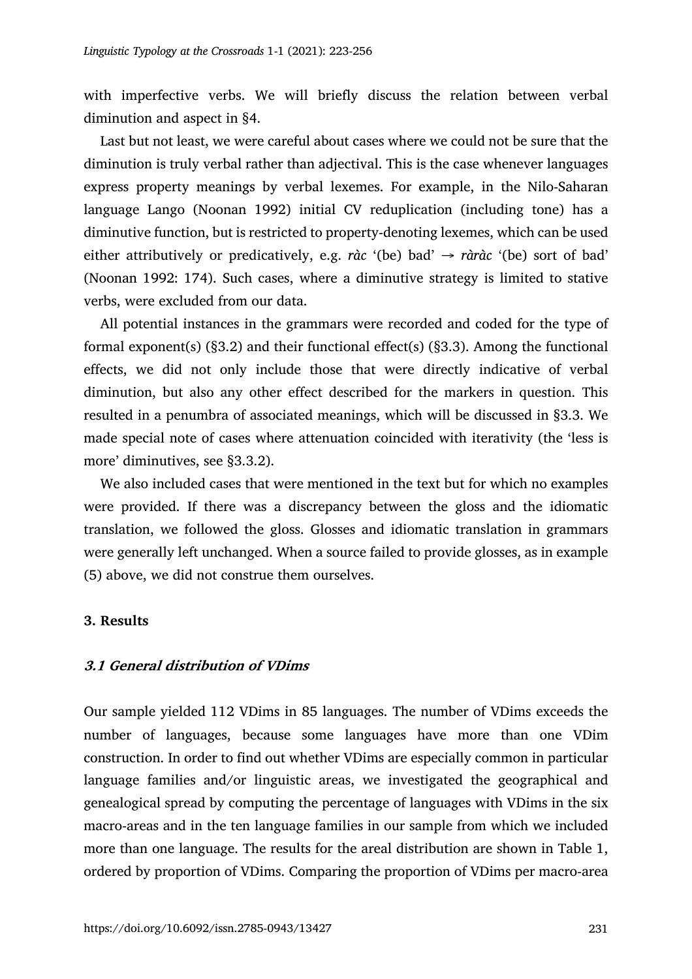with imperfective verbs. We will briefly discuss the relation between verbal diminution and aspect in §4.

Last but not least, we were careful about cases where we could not be sure that the diminution is truly verbal rather than adjectival. This is the case whenever languages express property meanings by verbal lexemes. For example, in the Nilo-Saharan language Lango (Noonan 1992) initial CV reduplication (including tone) has a diminutive function, but is restricted to property-denoting lexemes, which can be used either attributively or predicatively, e.g. *ràc* '(be) bad'  $\rightarrow$  *ràràc* '(be) sort of bad' (Noonan 1992: 174). Such cases, where a diminutive strategy is limited to stative verbs, were excluded from our data.

All potential instances in the grammars were recorded and coded for the type of formal exponent(s) (§3.2) and their functional effect(s) (§3.3). Among the functional effects, we did not only include those that were directly indicative of verbal diminution, but also any other effect described for the markers in question. This resulted in a penumbra of associated meanings, which will be discussed in §3.3. We made special note of cases where attenuation coincided with iterativity (the 'less is more' diminutives, see §3.3.2).

We also included cases that were mentioned in the text but for which no examples were provided. If there was a discrepancy between the gloss and the idiomatic translation, we followed the gloss. Glosses and idiomatic translation in grammars were generally left unchanged. When a source failed to provide glosses, as in example (5) above, we did not construe them ourselves.

#### **3. Results**

#### **3.1 General distribution of VDims**

Our sample yielded 112 VDims in 85 languages. The number of VDims exceeds the number of languages, because some languages have more than one VDim construction. In order to find out whether VDims are especially common in particular language families and/or linguistic areas, we investigated the geographical and genealogical spread by computing the percentage of languages with VDims in the six macro-areas and in the ten language families in our sample from which we included more than one language. The results for the areal distribution are shown in Table 1, ordered by proportion of VDims. Comparing the proportion of VDims per macro-area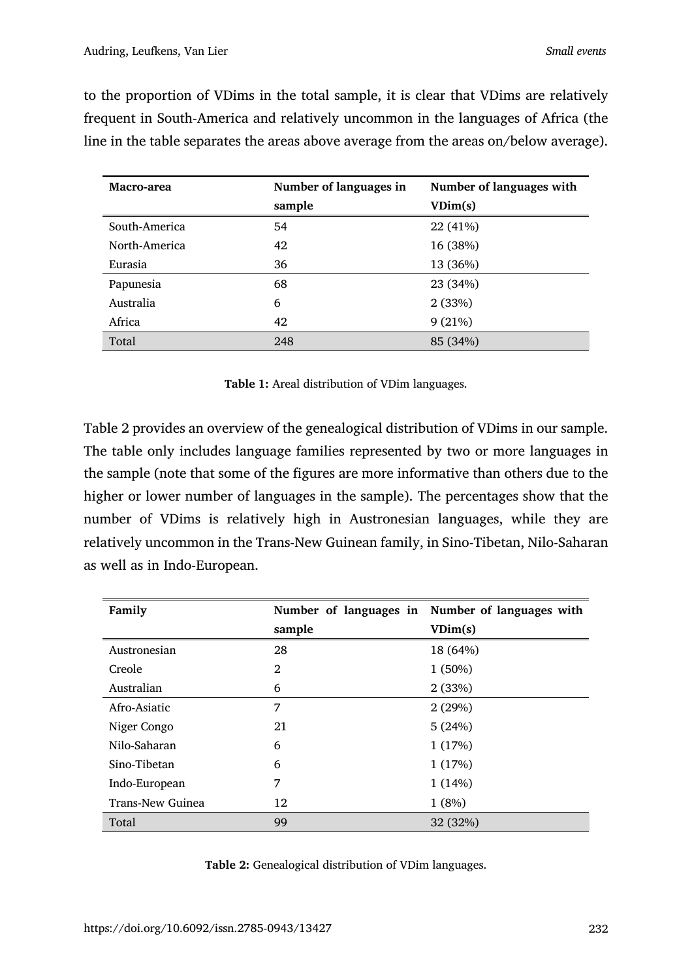**Macro-area Number of languages in sample Number of languages with VDim(s)** South-America 54 22 (41%) North-America 42 16 (38%) Eurasia 36 13 (36%) Papunesia 68 23 (34%) Australia 6 2 (33%) Africa 42 9 (21%) Total 248 85 (34%)

to the proportion of VDims in the total sample, it is clear that VDims are relatively frequent in South-America and relatively uncommon in the languages of Africa (the line in the table separates the areas above average from the areas on/below average).

**Table 1:** Areal distribution of VDim languages.

Table 2 provides an overview of the genealogical distribution of VDims in our sample. The table only includes language families represented by two or more languages in the sample (note that some of the figures are more informative than others due to the higher or lower number of languages in the sample). The percentages show that the number of VDims is relatively high in Austronesian languages, while they are relatively uncommon in the Trans-New Guinean family, in Sino-Tibetan, Nilo-Saharan as well as in Indo-European.

| Family                  |        | Number of languages in Number of languages with |  |
|-------------------------|--------|-------------------------------------------------|--|
|                         | sample | VDim(s)                                         |  |
| Austronesian            | 28     | 18 (64%)                                        |  |
| Creole                  | 2      | $1(50\%)$                                       |  |
| Australian              | 6      | 2(33%)                                          |  |
| Afro-Asiatic            | 7      | 2(29%)                                          |  |
| Niger Congo             | 21     | 5(24%)                                          |  |
| Nilo-Saharan            | 6      | 1(17%)                                          |  |
| Sino-Tibetan            | 6      | 1(17%)                                          |  |
| Indo-European           | 7      | 1(14%)                                          |  |
| <b>Trans-New Guinea</b> | 12     | 1(8%)                                           |  |
| Total                   | 99     | 32 (32%)                                        |  |

**Table 2:** Genealogical distribution of VDim languages.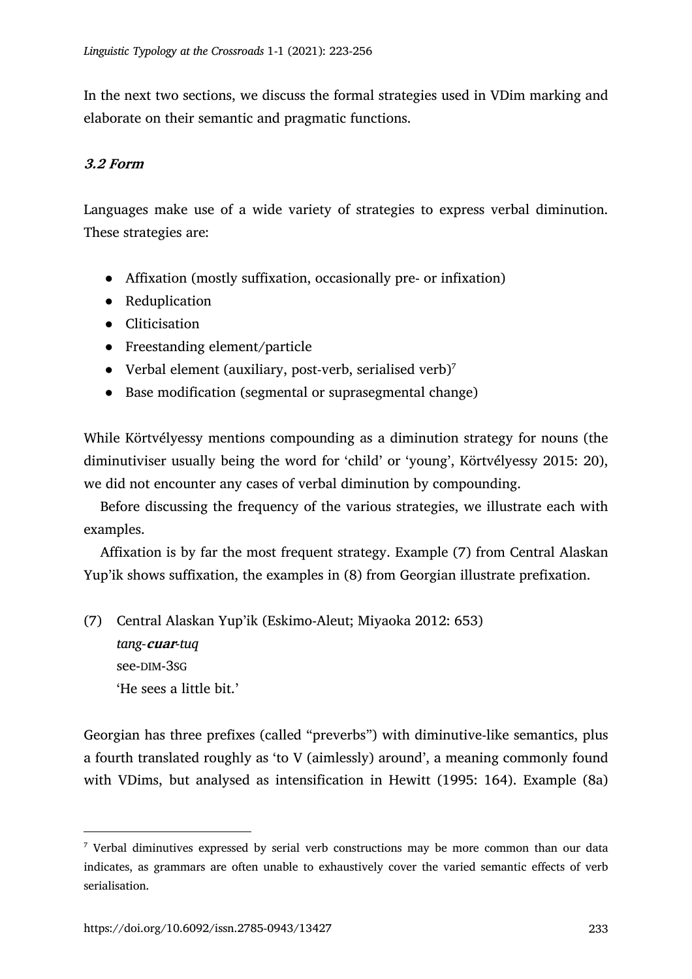In the next two sections, we discuss the formal strategies used in VDim marking and elaborate on their semantic and pragmatic functions.

## **3.2 Form**

Languages make use of a wide variety of strategies to express verbal diminution. These strategies are:

- Affixation (mostly suffixation, occasionally pre- or infixation)
- Reduplication
- Cliticisation
- Freestanding element/particle
- Verbal element (auxiliary, post-verb, serialised verb)<sup>7</sup>
- Base modification (segmental or suprasegmental change)

While Körtvélyessy mentions compounding as a diminution strategy for nouns (the diminutiviser usually being the word for 'child' or 'young', Körtvélyessy 2015: 20), we did not encounter any cases of verbal diminution by compounding.

Before discussing the frequency of the various strategies, we illustrate each with examples.

Affixation is by far the most frequent strategy. Example (7) from Central Alaskan Yup'ik shows suffixation, the examples in (8) from Georgian illustrate prefixation.

(7) Central Alaskan Yup'ik (Eskimo-Aleut; Miyaoka 2012: 653) *tang-***cuar***-tuq* see-DIM-3SG 'He sees a little bit.'

Georgian has three prefixes (called "preverbs") with diminutive-like semantics, plus a fourth translated roughly as 'to V (aimlessly) around', a meaning commonly found with VDims, but analysed as intensification in Hewitt (1995: 164). Example (8a)

<sup>7</sup> Verbal diminutives expressed by serial verb constructions may be more common than our data indicates, as grammars are often unable to exhaustively cover the varied semantic effects of verb serialisation.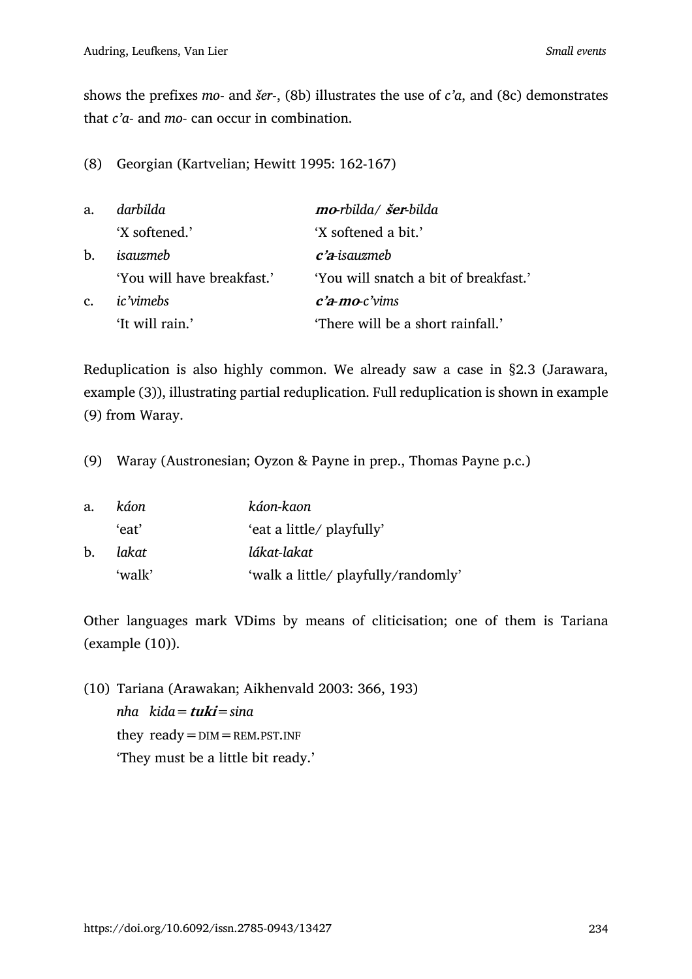shows the prefixes *mo*- and *šer*-, (8b) illustrates the use of *c'a*, and (8c) demonstrates that *c'a-* and *mo-* can occur in combination.

(8) Georgian (Kartvelian; Hewitt 1995: 162-167)

| a.             | darbilda                   | mo-rbilda/ šer-bilda                  |
|----------------|----------------------------|---------------------------------------|
|                | 'X softened.'              | 'X softened a bit.'                   |
| b.             | isauzmeb                   | $c$ 'a-isauzmeb                       |
|                | 'You will have breakfast.' | 'You will snatch a bit of breakfast.' |
| $\mathbf{C}$ . | ic'vimebs                  | $c'$ a-mo-c'vims                      |
|                | 'It will rain.'            | 'There will be a short rainfall.'     |

Reduplication is also highly common. We already saw a case in §2.3 (Jarawara, example (3)), illustrating partial reduplication. Full reduplication is shown in example (9) from Waray.

(9) Waray (Austronesian; Oyzon & Payne in prep., Thomas Payne p.c.)

| a. | káon   | káon-kaon                           |
|----|--------|-------------------------------------|
|    | ʻeat'  | 'eat a little/ playfully'           |
| b. | lakat  | lákat-lakat                         |
|    | 'walk' | 'walk a little/ playfully/randomly' |

Other languages mark VDims by means of cliticisation; one of them is Tariana (example (10)).

(10) Tariana (Arawakan; Aikhenvald 2003: 366, 193) *nha kida=***tuki***=sina* they  $ready = DIM = REM.PST.INF$ 'They must be a little bit ready.'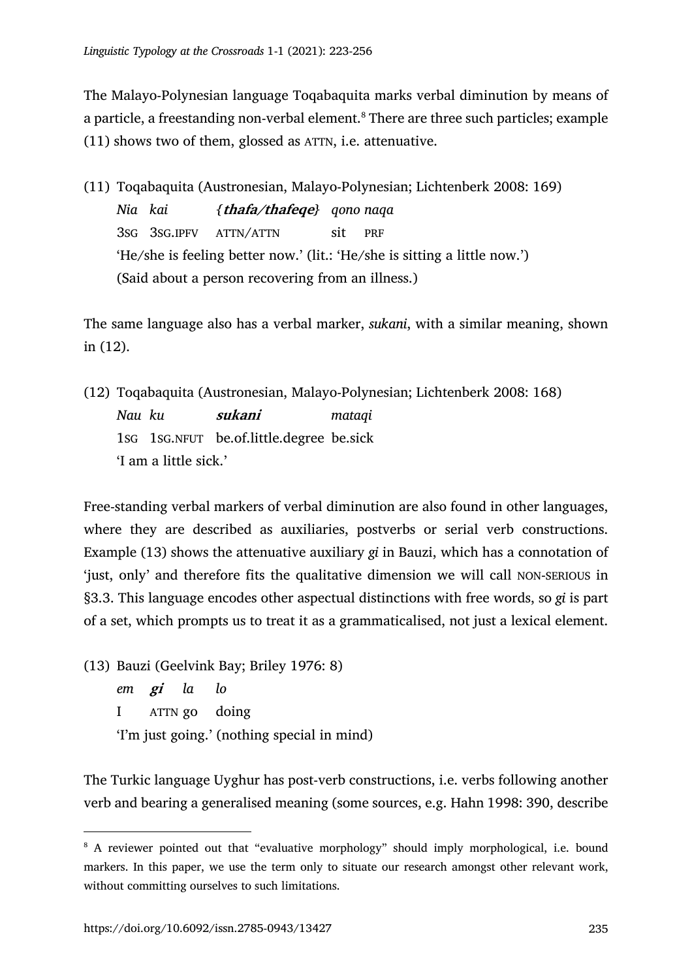The Malayo-Polynesian language Toqabaquita marks verbal diminution by means of a particle, a freestanding non-verbal element.<sup>8</sup> There are three such particles; example (11) shows two of them, glossed as ATTN, i.e. attenuative.

(11) Toqabaquita (Austronesian, Malayo-Polynesian; Lichtenberk 2008: 169) *Nia kai {***thafa/thafeqe***} qono naqa* 3SG 3SG.IPFV ATTN/ATTN sit PRF 'He/she is feeling better now.' (lit.: 'He/she is sitting a little now.') (Said about a person recovering from an illness.)

The same language also has a verbal marker, *sukani*, with a similar meaning, shown in (12).

(12) Toqabaquita (Austronesian, Malayo-Polynesian; Lichtenberk 2008: 168) *Nau ku* **sukani** *mataqi* 1SG 1SG.NFUT be.of.little.degree be.sick 'I am a little sick.'

Free-standing verbal markers of verbal diminution are also found in other languages, where they are described as auxiliaries, postverbs or serial verb constructions. Example (13) shows the attenuative auxiliary *gi* in Bauzi, which has a connotation of 'just, only' and therefore fits the qualitative dimension we will call NON-SERIOUS in §3.3. This language encodes other aspectual distinctions with free words, so *gi* is part of a set, which prompts us to treat it as a grammaticalised, not just a lexical element.

(13) Bauzi (Geelvink Bay; Briley 1976: 8)

*em* **gi** *la lo* I ATTN go doing 'I'm just going.' (nothing special in mind)

The Turkic language Uyghur has post-verb constructions, i.e. verbs following another verb and bearing a generalised meaning (some sources, e.g. Hahn 1998: 390, describe

<sup>&</sup>lt;sup>8</sup> A reviewer pointed out that "evaluative morphology" should imply morphological, i.e. bound markers. In this paper, we use the term only to situate our research amongst other relevant work, without committing ourselves to such limitations.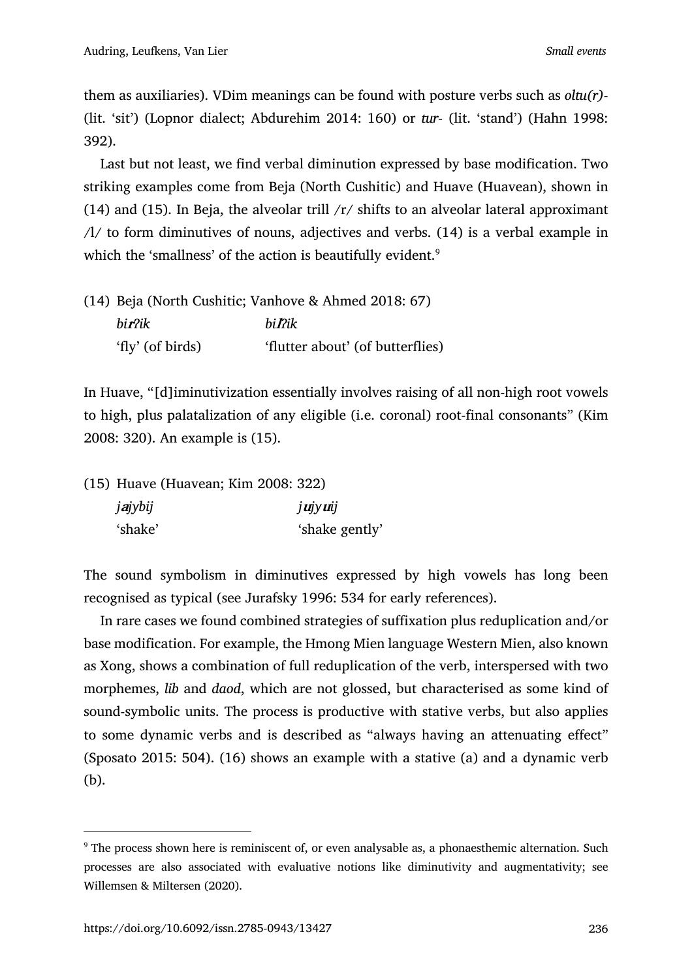them as auxiliaries). VDim meanings can be found with posture verbs such as *oltu(r)-* (lit. 'sit') (Lopnor dialect; Abdurehim 2014: 160) or *tur-* (lit. 'stand') (Hahn 1998: 392).

Last but not least, we find verbal diminution expressed by base modification. Two striking examples come from Beja (North Cushitic) and Huave (Huavean), shown in (14) and (15). In Beja, the alveolar trill  $/r/$  shifts to an alveolar lateral approximant /l/ to form diminutives of nouns, adjectives and verbs. (14) is a verbal example in which the 'smallness' of the action is beautifully evident.<sup>9</sup>

| (14) Beja (North Cushitic; Vanhove & Ahmed 2018: 67) |                                  |  |  |
|------------------------------------------------------|----------------------------------|--|--|
| bir?ik                                               | hi Pik                           |  |  |
| 'fly' (of birds)                                     | 'flutter about' (of butterflies) |  |  |

In Huave, "[d]iminutivization essentially involves raising of all non-high root vowels to high, plus palatalization of any eligible (i.e. coronal) root-final consonants" (Kim 2008: 320). An example is (15).

| (15) Huave (Huavean; Kim 2008: 322) |                |
|-------------------------------------|----------------|
| jajybij                             | <i>jujyuij</i> |
| 'shake'                             | 'shake gently' |

The sound symbolism in diminutives expressed by high vowels has long been recognised as typical (see Jurafsky 1996: 534 for early references).

In rare cases we found combined strategies of suffixation plus reduplication and/or base modification. For example, the Hmong Mien language Western Mien, also known as Xong, shows a combination of full reduplication of the verb, interspersed with two morphemes, *lib* and *daod*, which are not glossed, but characterised as some kind of sound-symbolic units. The process is productive with stative verbs, but also applies to some dynamic verbs and is described as "always having an attenuating effect" (Sposato 2015: 504). (16) shows an example with a stative (a) and a dynamic verb (b).

<sup>&</sup>lt;sup>9</sup> The process shown here is reminiscent of, or even analysable as, a phonaesthemic alternation. Such processes are also associated with evaluative notions like diminutivity and augmentativity; see Willemsen & Miltersen (2020).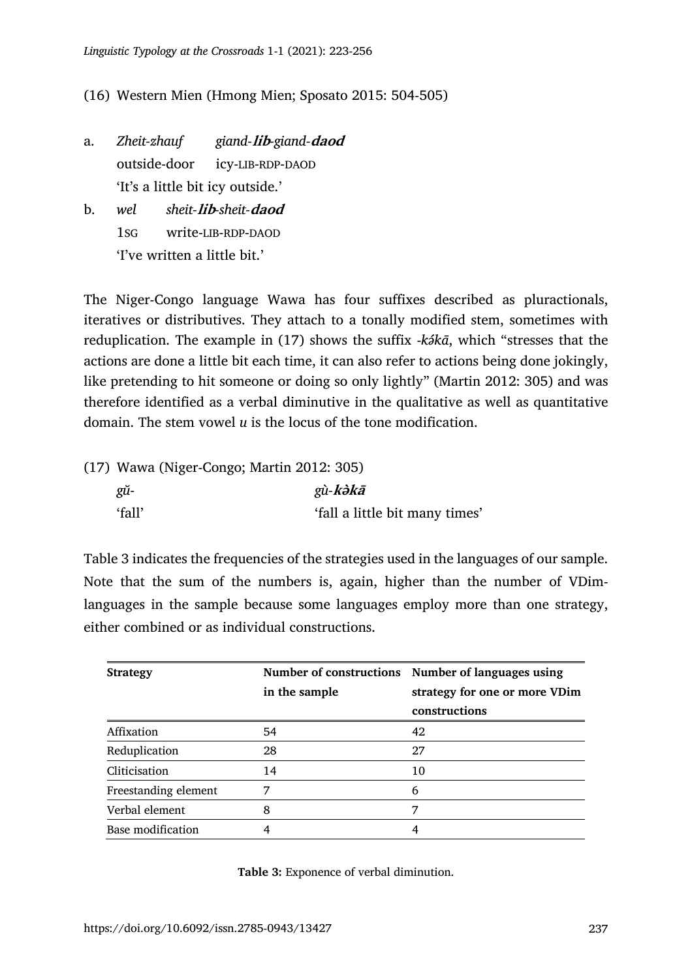## (16) Western Mien (Hmong Mien; Sposato 2015: 504-505)

- a. *Zheit-zhauf giand-***lib***-giand-***daod** outside-door icy-LIB-RDP-DAOD 'It's a little bit icy outside.'
- b. *wel sheit-***lib***-sheit-***daod** 1SG write-LIB-RDP-DAOD 'I've written a little bit.'

The Niger-Congo language Wawa has four suffixes described as pluractionals, iteratives or distributives. They attach to a tonally modified stem, sometimes with reduplication. The example in (17) shows the suffix -*kə́kā*, which "stresses that the actions are done a little bit each time, it can also refer to actions being done jokingly, like pretending to hit someone or doing so only lightly" (Martin 2012: 305) and was therefore identified as a verbal diminutive in the qualitative as well as quantitative domain. The stem vowel *u* is the locus of the tone modification.

| $(17)$ Wawa (Niger-Congo; Martin 2012: 305) |                                |
|---------------------------------------------|--------------------------------|
| gй-                                         | gù-kəkā                        |
| 'fall'                                      | 'fall a little bit many times' |

Table 3 indicates the frequencies of the strategies used in the languages of our sample. Note that the sum of the numbers is, again, higher than the number of VDimlanguages in the sample because some languages employ more than one strategy, either combined or as individual constructions.

| <b>Strategy</b>      |               | Number of constructions Number of languages using |  |  |
|----------------------|---------------|---------------------------------------------------|--|--|
|                      | in the sample | strategy for one or more VDim                     |  |  |
|                      |               | constructions                                     |  |  |
| Affixation           | 54            | 42                                                |  |  |
| Reduplication        | 28            | 27                                                |  |  |
| Cliticisation        | 14            | 10                                                |  |  |
| Freestanding element | 7             | 6                                                 |  |  |
| Verbal element       | 8             | 7                                                 |  |  |
| Base modification    |               | 4                                                 |  |  |

**Table 3:** Exponence of verbal diminution.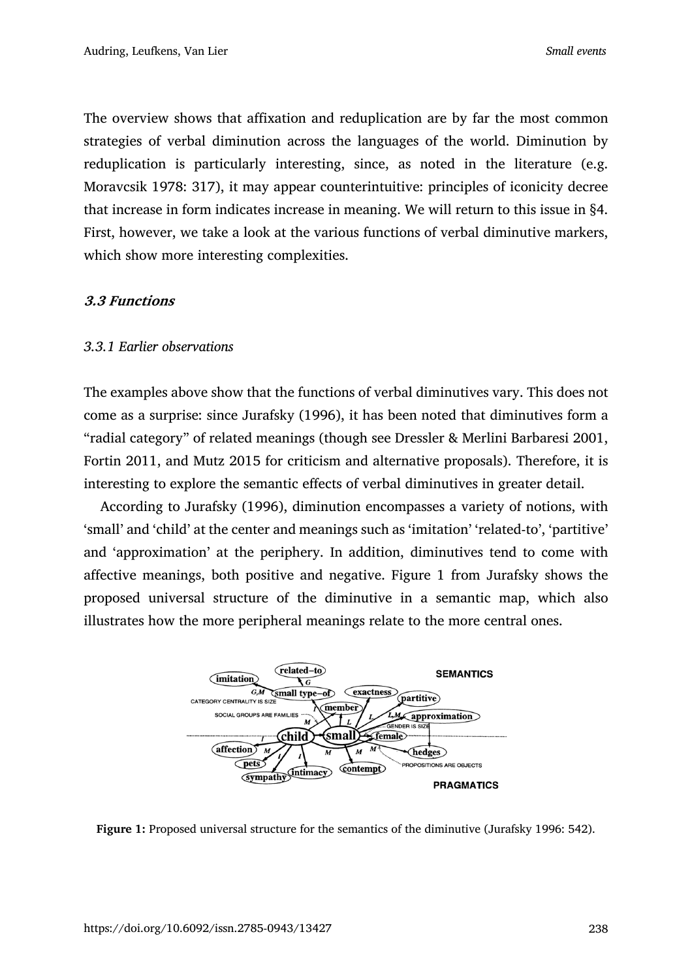The overview shows that affixation and reduplication are by far the most common strategies of verbal diminution across the languages of the world. Diminution by reduplication is particularly interesting, since, as noted in the literature (e.g. Moravcsik 1978: 317), it may appear counterintuitive: principles of iconicity decree that increase in form indicates increase in meaning. We will return to this issue in §4. First, however, we take a look at the various functions of verbal diminutive markers, which show more interesting complexities.

### **3.3 Functions**

### *3.3.1 Earlier observations*

The examples above show that the functions of verbal diminutives vary. This does not come as a surprise: since Jurafsky (1996), it has been noted that diminutives form a "radial category" of related meanings (though see Dressler & Merlini Barbaresi 2001, Fortin 2011, and Mutz 2015 for criticism and alternative proposals). Therefore, it is interesting to explore the semantic effects of verbal diminutives in greater detail.

According to Jurafsky (1996), diminution encompasses a variety of notions, with 'small' and 'child' at the center and meanings such as 'imitation' 'related-to', 'partitive' and 'approximation' at the periphery. In addition, diminutives tend to come with affective meanings, both positive and negative. Figure 1 from Jurafsky shows the proposed universal structure of the diminutive in a semantic map, which also illustrates how the more peripheral meanings relate to the more central ones.



**Figure 1:** Proposed universal structure for the semantics of the diminutive (Jurafsky 1996: 542).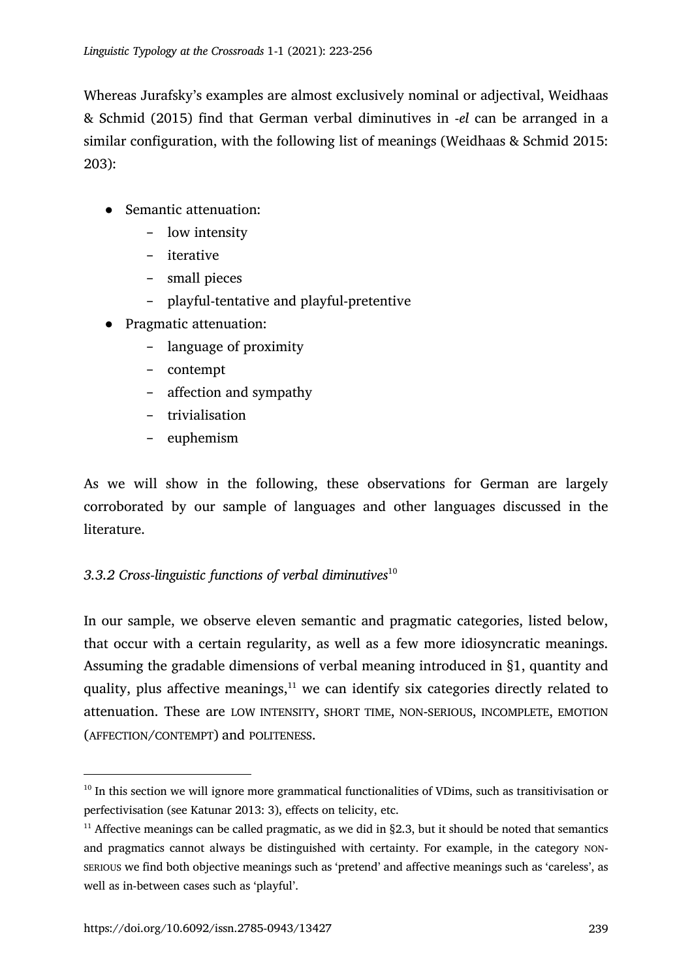Whereas Jurafsky's examples are almost exclusively nominal or adjectival, Weidhaas & Schmid (2015) find that German verbal diminutives in -*el* can be arranged in a similar configuration, with the following list of meanings (Weidhaas & Schmid 2015: 203):

- Semantic attenuation:
	- − low intensity
	- − iterative
	- − small pieces
	- − playful-tentative and playful-pretentive
- Pragmatic attenuation:
	- − language of proximity
	- − contempt
	- − affection and sympathy
	- − trivialisation
	- − euphemism

As we will show in the following, these observations for German are largely corroborated by our sample of languages and other languages discussed in the literature.

# *3.3.2 Cross-linguistic functions of verbal diminutives*<sup>10</sup>

In our sample, we observe eleven semantic and pragmatic categories, listed below, that occur with a certain regularity, as well as a few more idiosyncratic meanings. Assuming the gradable dimensions of verbal meaning introduced in §1, quantity and quality, plus affective meanings, $11$  we can identify six categories directly related to attenuation. These are LOW INTENSITY, SHORT TIME, NON-SERIOUS, INCOMPLETE, EMOTION (AFFECTION/CONTEMPT) and POLITENESS.

<sup>&</sup>lt;sup>10</sup> In this section we will ignore more grammatical functionalities of VDims, such as transitivisation or perfectivisation (see Katunar 2013: 3), effects on telicity, etc.

<sup>&</sup>lt;sup>11</sup> Affective meanings can be called pragmatic, as we did in §2.3, but it should be noted that semantics and pragmatics cannot always be distinguished with certainty. For example, in the category NON-SERIOUS we find both objective meanings such as 'pretend' and affective meanings such as 'careless', as well as in-between cases such as 'playful'.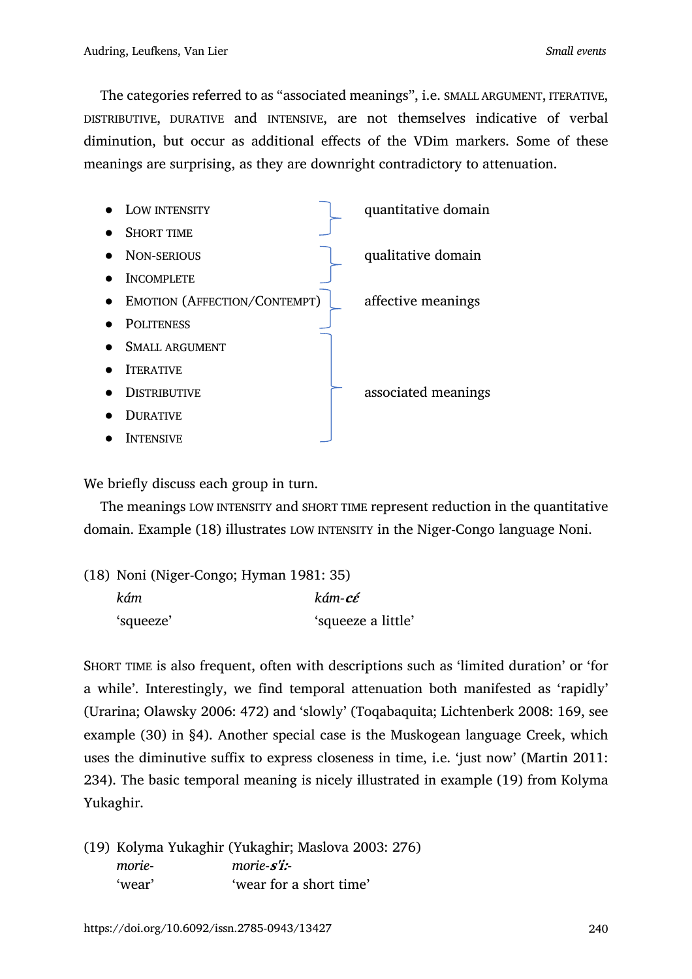The categories referred to as "associated meanings", i.e. SMALL ARGUMENT, ITERATIVE, DISTRIBUTIVE, DURATIVE and INTENSIVE, are not themselves indicative of verbal diminution, but occur as additional effects of the VDim markers. Some of these meanings are surprising, as they are downright contradictory to attenuation.

| LOW INTENSITY                       | quantitative domain |
|-------------------------------------|---------------------|
| <b>SHORT TIME</b>                   |                     |
| <b>NON-SERIOUS</b>                  | qualitative domain  |
| <b>INCOMPLETE</b>                   |                     |
| <b>EMOTION (AFFECTION/CONTEMPT)</b> | affective meanings  |
| <b>POLITENESS</b>                   |                     |
| <b>SMALL ARGUMENT</b>               |                     |
| <b>ITERATIVE</b>                    |                     |
| <b>DISTRIBUTIVE</b>                 | associated meanings |
| <b>DURATIVE</b>                     |                     |
| <b>INTENSIVE</b>                    |                     |

We briefly discuss each group in turn.

The meanings LOW INTENSITY and SHORT TIME represent reduction in the quantitative domain. Example (18) illustrates LOW INTENSITY in the Niger-Congo language Noni.

| (18) Noni (Niger-Congo; Hyman 1981: 35) |                    |  |
|-----------------------------------------|--------------------|--|
| kám                                     | kám-cé             |  |
| 'squeeze'                               | 'squeeze a little' |  |

SHORT TIME is also frequent, often with descriptions such as 'limited duration' or 'for a while'. Interestingly, we find temporal attenuation both manifested as 'rapidly' (Urarina; Olawsky 2006: 472) and 'slowly' (Toqabaquita; Lichtenberk 2008: 169, see example (30) in §4). Another special case is the Muskogean language Creek, which uses the diminutive suffix to express closeness in time, i.e. 'just now' (Martin 2011: 234). The basic temporal meaning is nicely illustrated in example (19) from Kolyma Yukaghir.

(19) Kolyma Yukaghir (Yukaghir; Maslova 2003: 276) *morie*- *morie-***s'i:***-* 'wear' 'wear for a short time'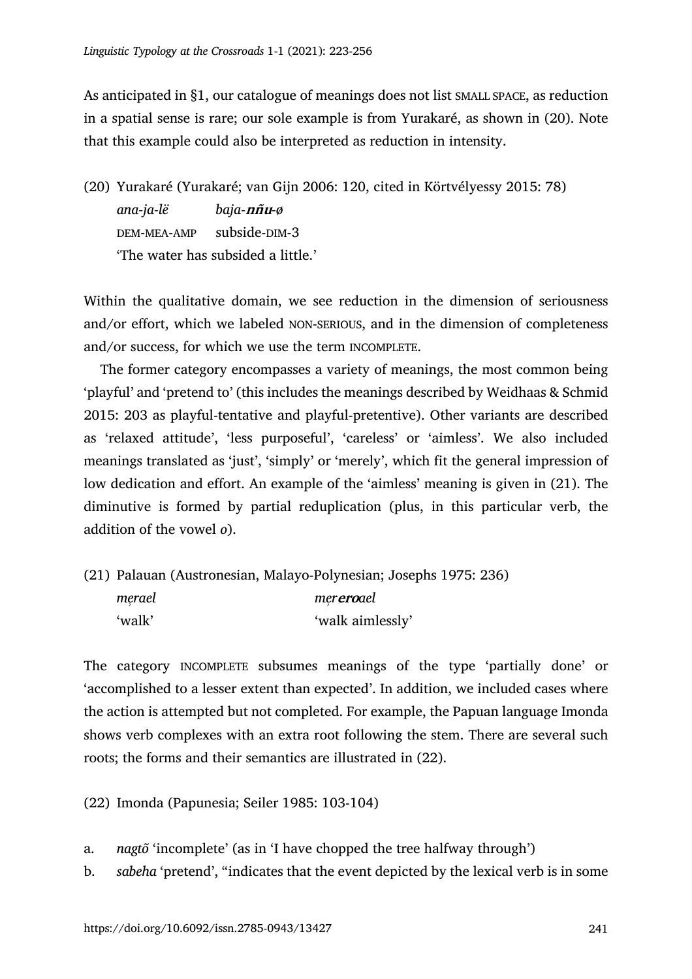As anticipated in §1, our catalogue of meanings does not list SMALL SPACE, as reduction in a spatial sense is rare; our sole example is from Yurakaré, as shown in (20). Note that this example could also be interpreted as reduction in intensity.

(20) Yurakaré (Yurakaré; van Gijn 2006: 120, cited in Körtvélyessy 2015: 78) *ana-ja-lë baja-***nñu***-ø*  DEM-MEA-AMP subside-DIM-3 'The water has subsided a little.'

Within the qualitative domain, we see reduction in the dimension of seriousness and/or effort, which we labeled NON-SERIOUS, and in the dimension of completeness and/or success, for which we use the term INCOMPLETE.

The former category encompasses a variety of meanings, the most common being 'playful' and 'pretend to' (this includes the meanings described by Weidhaas & Schmid 2015: 203 as playful-tentative and playful-pretentive). Other variants are described as 'relaxed attitude', 'less purposeful', 'careless' or 'aimless'. We also included meanings translated as 'just', 'simply' or 'merely', which fit the general impression of low dedication and effort. An example of the 'aimless' meaning is given in (21). The diminutive is formed by partial reduplication (plus, in this particular verb, the addition of the vowel *o*).

(21) Palauan (Austronesian, Malayo-Polynesian; Josephs 1975: 236) *merael ̹ mer̹* **ero***ael* 'walk' 'walk aimlessly'

The category INCOMPLETE subsumes meanings of the type 'partially done' or 'accomplished to a lesser extent than expected'. In addition, we included cases where the action is attempted but not completed. For example, the Papuan language Imonda shows verb complexes with an extra root following the stem. There are several such roots; the forms and their semantics are illustrated in (22).

(22) Imonda (Papunesia; Seiler 1985: 103-104)

a. *nagtõ* 'incomplete' (as in 'I have chopped the tree halfway through')

b. *sabeha* 'pretend', "indicates that the event depicted by the lexical verb is in some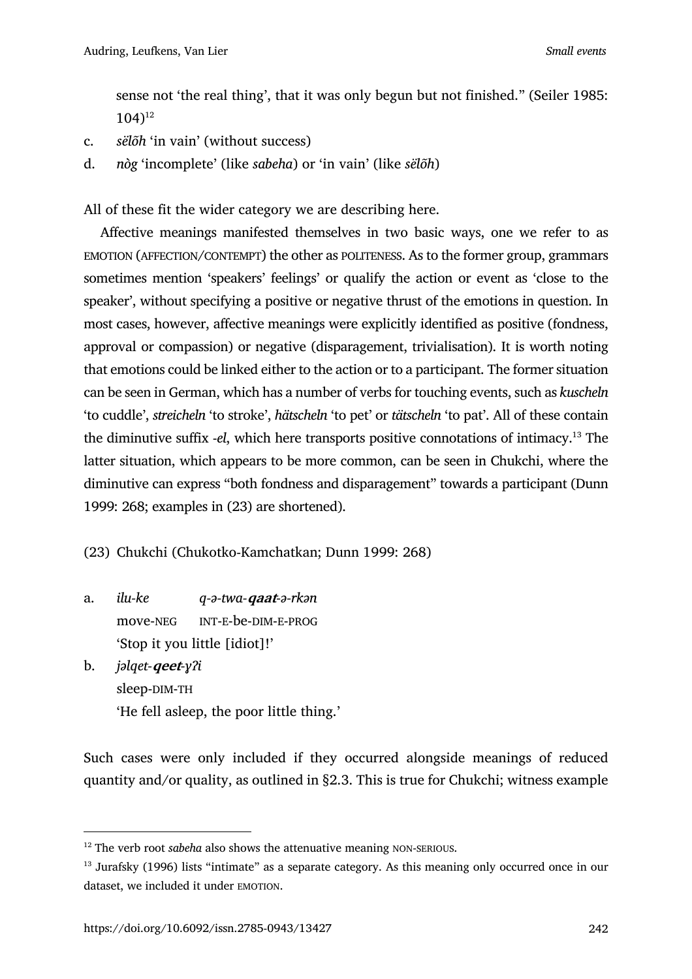sense not 'the real thing', that it was only begun but not finished." (Seiler 1985:  $104$ <sup>12</sup>

- c. *sëlõh* 'in vain' (without success)
- d. *nòg* 'incomplete' (like *sabeha*) or 'in vain' (like *sëlõh*)

All of these fit the wider category we are describing here.

Affective meanings manifested themselves in two basic ways, one we refer to as EMOTION (AFFECTION/CONTEMPT) the other as POLITENESS. As to the former group, grammars sometimes mention 'speakers' feelings' or qualify the action or event as 'close to the speaker', without specifying a positive or negative thrust of the emotions in question. In most cases, however, affective meanings were explicitly identified as positive (fondness, approval or compassion) or negative (disparagement, trivialisation). It is worth noting that emotions could be linked either to the action or to a participant. The former situation can be seen in German, which has a number of verbs for touching events, such as *kuscheln* 'to cuddle', *streicheln* 'to stroke', *hätscheln* 'to pet' or *tätscheln* 'to pat'. All of these contain the diminutive suffix -*el*, which here transports positive connotations of intimacy.13 The latter situation, which appears to be more common, can be seen in Chukchi, where the diminutive can express "both fondness and disparagement" towards a participant (Dunn 1999: 268; examples in (23) are shortened).

(23) Chukchi (Chukotko-Kamchatkan; Dunn 1999: 268)

- a. *ilu-ke q-ə-twa-***qaat***-ə-rkən* move-NEG INT-E-be-DIM-E-PROG 'Stop it you little [idiot]!'
- b. *jəlqet-***qeet***-ɣʔi* sleep-DIM-TH 'He fell asleep, the poor little thing.'

Such cases were only included if they occurred alongside meanings of reduced quantity and/or quality, as outlined in §2.3. This is true for Chukchi; witness example

<sup>&</sup>lt;sup>12</sup> The verb root *sabeha* also shows the attenuative meaning NON-SERIOUS.

<sup>&</sup>lt;sup>13</sup> Jurafsky (1996) lists "intimate" as a separate category. As this meaning only occurred once in our dataset, we included it under EMOTION.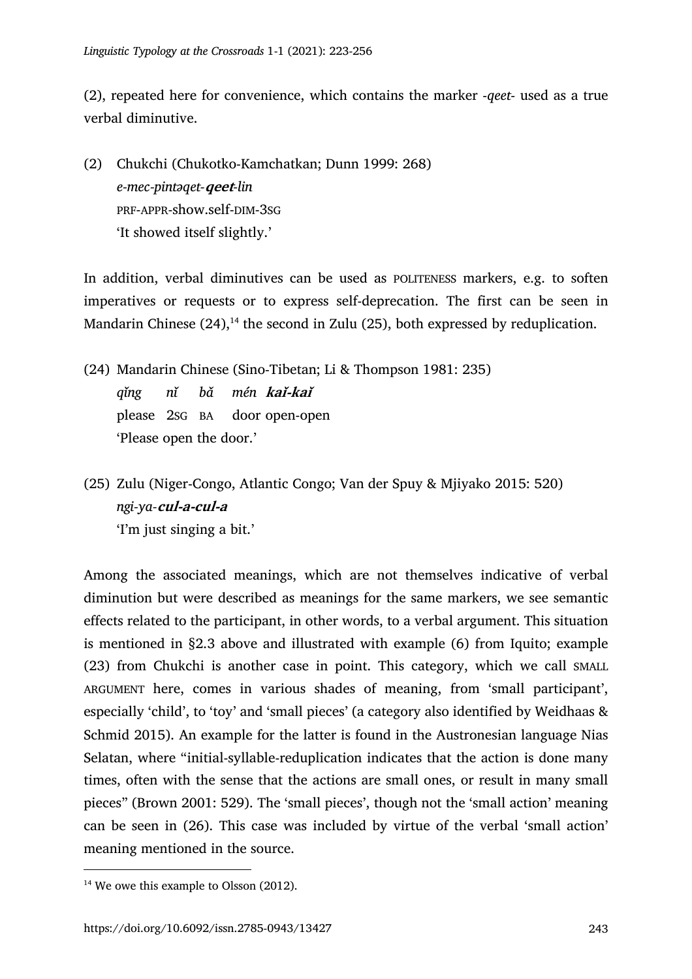(2), repeated here for convenience, which contains the marker -*qeet*- used as a true verbal diminutive.

(2) Chukchi (Chukotko-Kamchatkan; Dunn 1999: 268) *e-mec-pintəqet-***qeet***-lin* PRF-APPR-show.self-DIM-3SG 'It showed itself slightly.'

In addition, verbal diminutives can be used as POLITENESS markers, e.g. to soften imperatives or requests or to express self-deprecation. The first can be seen in Mandarin Chinese  $(24)$ ,<sup>14</sup> the second in Zulu  $(25)$ , both expressed by reduplication.

- (24) Mandarin Chinese (Sino-Tibetan; Li & Thompson 1981: 235) *qǐng nǐ bǎ mén* **kaǐ-kaǐ** please 2SG BA door open-open 'Please open the door.'
- (25) Zulu (Niger-Congo, Atlantic Congo; Van der Spuy & Mjiyako 2015: 520) *ngi-ya-***cul-a-cul-a** 'I'm just singing a bit.'

Among the associated meanings, which are not themselves indicative of verbal diminution but were described as meanings for the same markers, we see semantic effects related to the participant, in other words, to a verbal argument. This situation is mentioned in §2.3 above and illustrated with example (6) from Iquito; example (23) from Chukchi is another case in point. This category, which we call SMALL ARGUMENT here, comes in various shades of meaning, from 'small participant', especially 'child', to 'toy' and 'small pieces' (a category also identified by Weidhaas & Schmid 2015). An example for the latter is found in the Austronesian language Nias Selatan, where "initial-syllable-reduplication indicates that the action is done many times, often with the sense that the actions are small ones, or result in many small pieces" (Brown 2001: 529). The 'small pieces', though not the 'small action' meaning can be seen in (26). This case was included by virtue of the verbal 'small action' meaning mentioned in the source.

 $14$  We owe this example to Olsson (2012).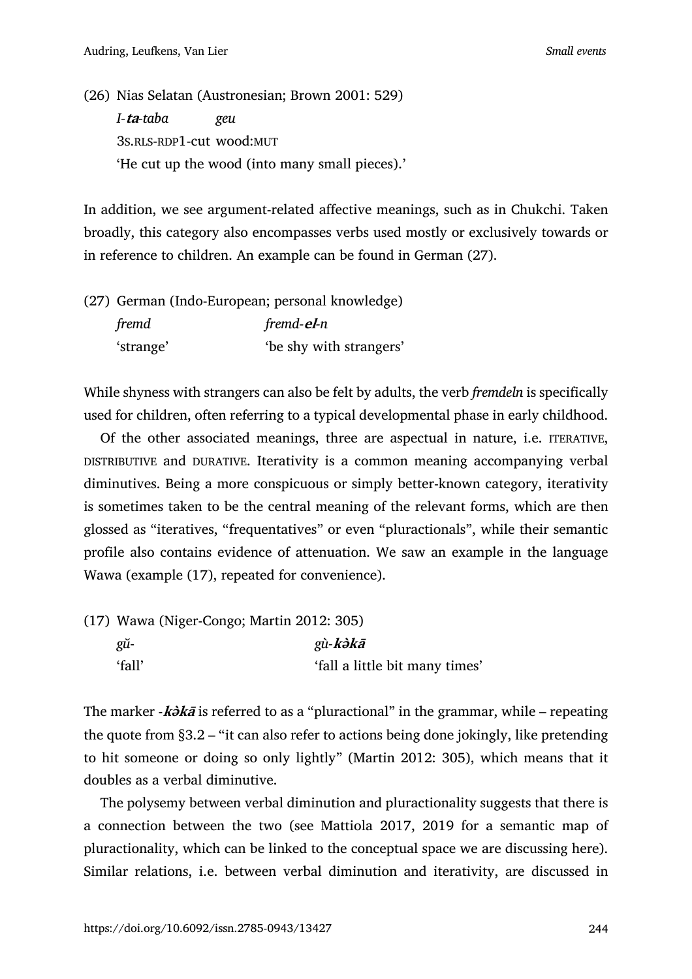(26) Nias Selatan (Austronesian; Brown 2001: 529) *I-***ta***-taba geu* 3S.RLS-RDP1-cut wood:MUT 'He cut up the wood (into many small pieces).'

In addition, we see argument-related affective meanings, such as in Chukchi. Taken broadly, this category also encompasses verbs used mostly or exclusively towards or in reference to children. An example can be found in German (27).

(27) German (Indo-European; personal knowledge) *fremd fremd-***el***-n* 'strange' 'be shy with strangers'

While shyness with strangers can also be felt by adults, the verb *fremdeln* is specifically used for children, often referring to a typical developmental phase in early childhood.

Of the other associated meanings, three are aspectual in nature, i.e. ITERATIVE, DISTRIBUTIVE and DURATIVE. Iterativity is a common meaning accompanying verbal diminutives. Being a more conspicuous or simply better-known category, iterativity is sometimes taken to be the central meaning of the relevant forms, which are then glossed as "iteratives, "frequentatives" or even "pluractionals", while their semantic profile also contains evidence of attenuation. We saw an example in the language Wawa (example (17), repeated for convenience).

| $(17)$ Wawa (Niger-Congo; Martin 2012: 305) |                                |  |
|---------------------------------------------|--------------------------------|--|
| gŭ-                                         | gù-kətkā                       |  |
| 'fall'                                      | 'fall a little bit many times' |  |

The marker -**kə̀k<sup>ā</sup>** is referred to as a "pluractional" in the grammar, while – repeating the quote from §3.2 – "it can also refer to actions being done jokingly, like pretending to hit someone or doing so only lightly" (Martin 2012: 305), which means that it doubles as a verbal diminutive.

The polysemy between verbal diminution and pluractionality suggests that there is a connection between the two (see Mattiola 2017, 2019 for a semantic map of pluractionality, which can be linked to the conceptual space we are discussing here). Similar relations, i.e. between verbal diminution and iterativity, are discussed in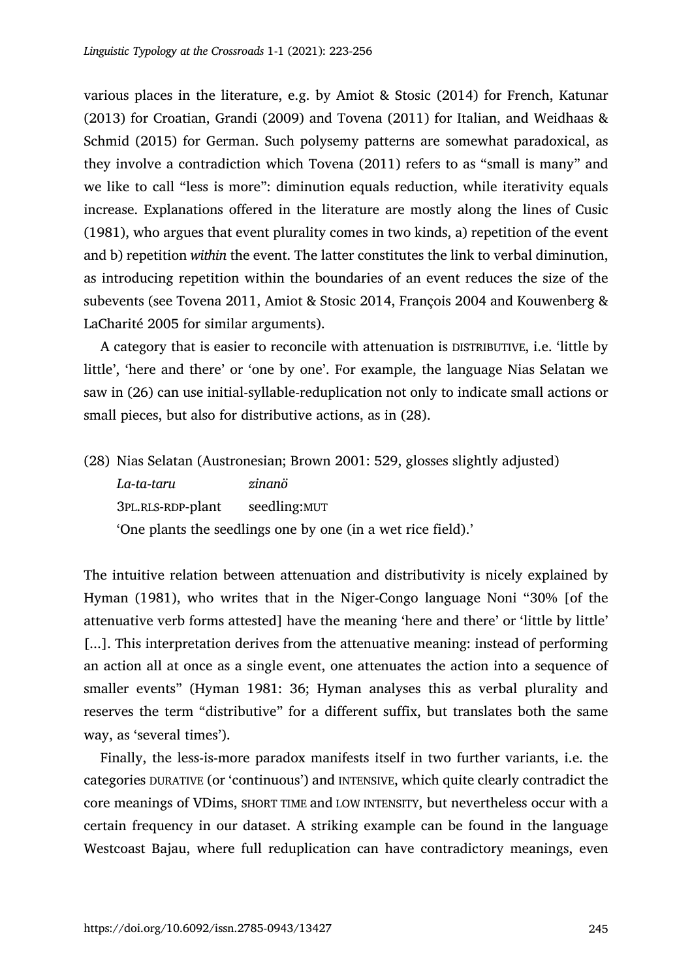various places in the literature, e.g. by Amiot & Stosic (2014) for French, Katunar (2013) for Croatian, Grandi (2009) and Tovena (2011) for Italian, and Weidhaas & Schmid (2015) for German. Such polysemy patterns are somewhat paradoxical, as they involve a contradiction which Tovena (2011) refers to as "small is many" and we like to call "less is more": diminution equals reduction, while iterativity equals increase. Explanations offered in the literature are mostly along the lines of Cusic (1981), who argues that event plurality comes in two kinds, a) repetition of the event and b) repetition *within* the event. The latter constitutes the link to verbal diminution, as introducing repetition within the boundaries of an event reduces the size of the subevents (see Tovena 2011, Amiot & Stosic 2014, François 2004 and Kouwenberg & LaCharité 2005 for similar arguments).

A category that is easier to reconcile with attenuation is DISTRIBUTIVE, i.e. 'little by little', 'here and there' or 'one by one'. For example, the language Nias Selatan we saw in (26) can use initial-syllable-reduplication not only to indicate small actions or small pieces, but also for distributive actions, as in (28).

(28) Nias Selatan (Austronesian; Brown 2001: 529, glosses slightly adjusted) *La-ta-taru zinanö* 3PL.RLS-RDP-plant seedling:MUT 'One plants the seedlings one by one (in a wet rice field).'

The intuitive relation between attenuation and distributivity is nicely explained by Hyman (1981), who writes that in the Niger-Congo language Noni "30% [of the attenuative verb forms attested] have the meaning 'here and there' or 'little by little' [...]. This interpretation derives from the attenuative meaning: instead of performing an action all at once as a single event, one attenuates the action into a sequence of smaller events" (Hyman 1981: 36; Hyman analyses this as verbal plurality and reserves the term "distributive" for a different suffix, but translates both the same way, as 'several times').

Finally, the less-is-more paradox manifests itself in two further variants, i.e. the categories DURATIVE (or 'continuous') and INTENSIVE, which quite clearly contradict the core meanings of VDims, SHORT TIME and LOW INTENSITY, but nevertheless occur with a certain frequency in our dataset. A striking example can be found in the language Westcoast Bajau, where full reduplication can have contradictory meanings, even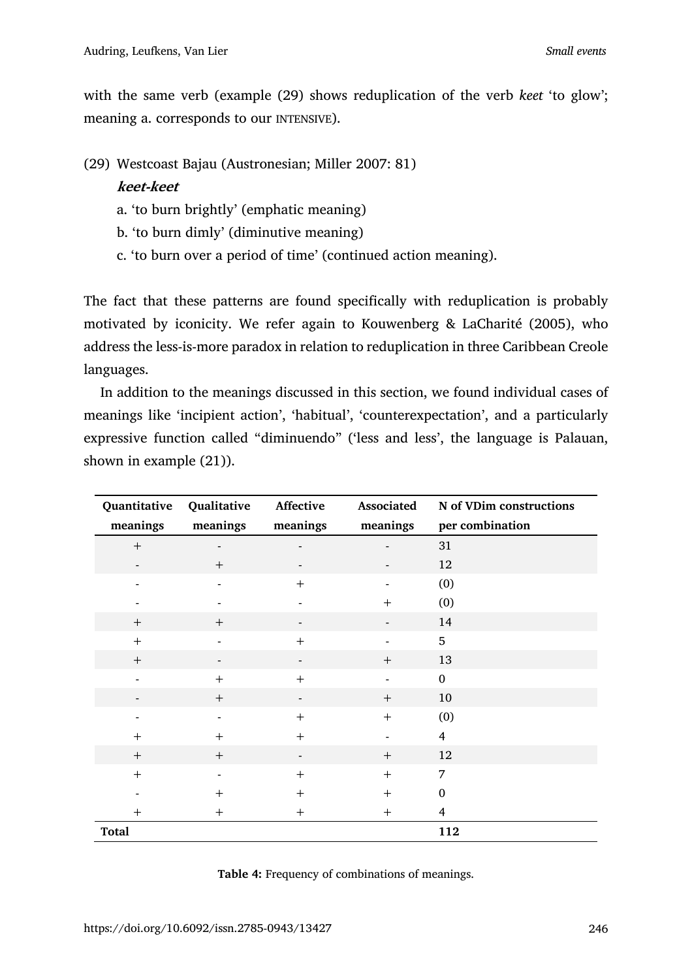with the same verb (example (29) shows reduplication of the verb *keet* 'to glow'; meaning a. corresponds to our INTENSIVE).

(29) Westcoast Bajau (Austronesian; Miller 2007: 81)

## **keet-keet**

- a. 'to burn brightly' (emphatic meaning)
- b. 'to burn dimly' (diminutive meaning)
- c. 'to burn over a period of time' (continued action meaning).

The fact that these patterns are found specifically with reduplication is probably motivated by iconicity. We refer again to Kouwenberg & LaCharité (2005), who address the less-is-more paradox in relation to reduplication in three Caribbean Creole languages.

In addition to the meanings discussed in this section, we found individual cases of meanings like 'incipient action', 'habitual', 'counterexpectation', and a particularly expressive function called "diminuendo" ('less and less', the language is Palauan, shown in example (21)).

| Quantitative             | Qualitative    | Affective                | Associated | N of VDim constructions |
|--------------------------|----------------|--------------------------|------------|-------------------------|
| meanings                 | meanings       | meanings                 | meanings   | per combination         |
| $+$                      |                |                          |            | 31                      |
| $\overline{\phantom{a}}$ | $+$            |                          |            | 12                      |
|                          |                | $+$                      |            | (0)                     |
|                          |                |                          | $+$        | (0)                     |
| $+$                      | $+$            |                          |            | 14                      |
| $+$                      |                | $+$                      |            | 5                       |
| $+$                      |                |                          | $+$        | 13                      |
| $\overline{\phantom{0}}$ | $+$            | $+$                      |            | $\mathbf{0}$            |
|                          | $+$            |                          | $+$        | 10                      |
|                          |                | $^{+}$                   | $+$        | (0)                     |
| $+$                      | $+$            | $+$                      |            | $\overline{4}$          |
| $+$                      | $+$            | $\overline{\phantom{a}}$ | $+$        | 12                      |
| $+$                      | $\blacksquare$ | $+$                      | $+$        | 7                       |
|                          | $+$            | $+$                      | $+$        | $\boldsymbol{0}$        |
| $+$                      | $+$            | $+$                      | $+$        | 4                       |
| Total                    |                |                          |            | 112                     |

|  | Table 4: Frequency of combinations of meanings. |  |
|--|-------------------------------------------------|--|
|  |                                                 |  |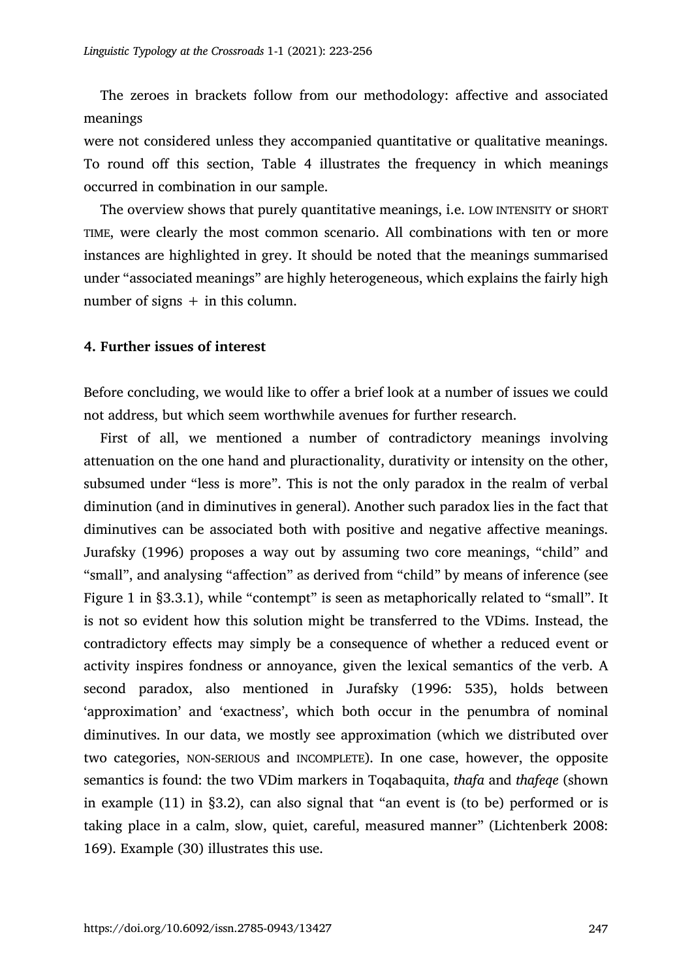The zeroes in brackets follow from our methodology: affective and associated meanings

were not considered unless they accompanied quantitative or qualitative meanings. To round off this section, Table 4 illustrates the frequency in which meanings occurred in combination in our sample.

The overview shows that purely quantitative meanings, i.e. LOW INTENSITY or SHORT TIME, were clearly the most common scenario. All combinations with ten or more instances are highlighted in grey. It should be noted that the meanings summarised under "associated meanings" are highly heterogeneous, which explains the fairly high number of signs  $+$  in this column.

#### **4. Further issues of interest**

Before concluding, we would like to offer a brief look at a number of issues we could not address, but which seem worthwhile avenues for further research.

First of all, we mentioned a number of contradictory meanings involving attenuation on the one hand and pluractionality, durativity or intensity on the other, subsumed under "less is more". This is not the only paradox in the realm of verbal diminution (and in diminutives in general). Another such paradox lies in the fact that diminutives can be associated both with positive and negative affective meanings. Jurafsky (1996) proposes a way out by assuming two core meanings, "child" and "small", and analysing "affection" as derived from "child" by means of inference (see Figure 1 in §3.3.1), while "contempt" is seen as metaphorically related to "small". It is not so evident how this solution might be transferred to the VDims. Instead, the contradictory effects may simply be a consequence of whether a reduced event or activity inspires fondness or annoyance, given the lexical semantics of the verb. A second paradox, also mentioned in Jurafsky (1996: 535), holds between 'approximation' and 'exactness', which both occur in the penumbra of nominal diminutives. In our data, we mostly see approximation (which we distributed over two categories, NON-SERIOUS and INCOMPLETE). In one case, however, the opposite semantics is found: the two VDim markers in Toqabaquita, *thafa* and *thafeqe* (shown in example (11) in §3.2), can also signal that "an event is (to be) performed or is taking place in a calm, slow, quiet, careful, measured manner" (Lichtenberk 2008: 169). Example (30) illustrates this use.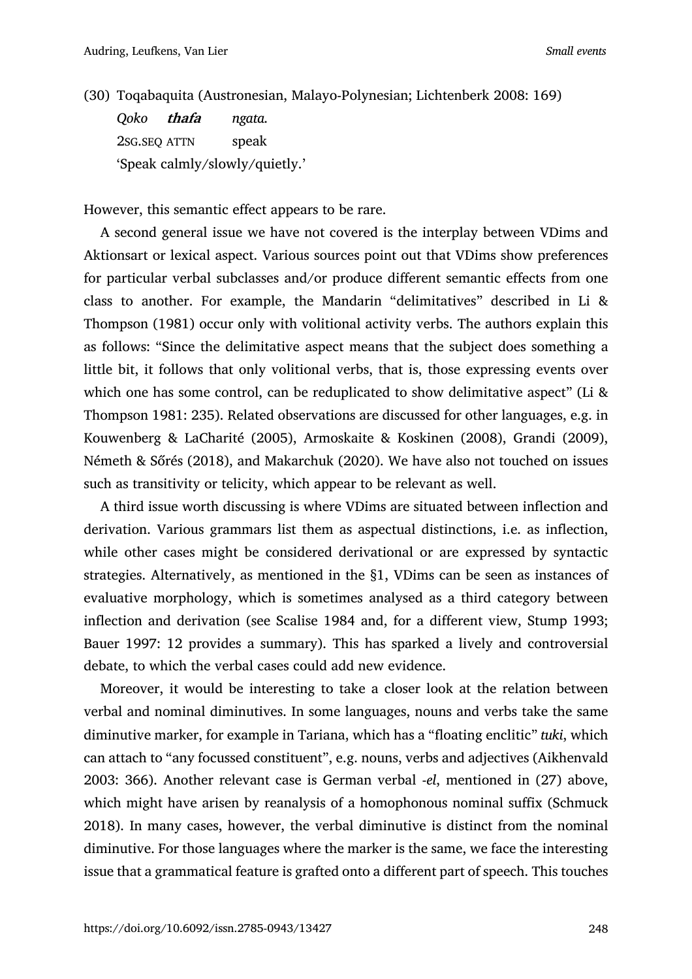(30) Toqabaquita (Austronesian, Malayo-Polynesian; Lichtenberk 2008: 169)

*Qoko* **thafa** *ngata.* 2SG.SEQ ATTN speak 'Speak calmly/slowly/quietly.'

However, this semantic effect appears to be rare.

A second general issue we have not covered is the interplay between VDims and Aktionsart or lexical aspect. Various sources point out that VDims show preferences for particular verbal subclasses and/or produce different semantic effects from one class to another. For example, the Mandarin "delimitatives" described in Li & Thompson (1981) occur only with volitional activity verbs. The authors explain this as follows: "Since the delimitative aspect means that the subject does something a little bit, it follows that only volitional verbs, that is, those expressing events over which one has some control, can be reduplicated to show delimitative aspect" (Li & Thompson 1981: 235). Related observations are discussed for other languages, e.g. in Kouwenberg & LaCharité (2005), Armoskaite & Koskinen (2008), Grandi (2009), Németh & Sőrés (2018), and Makarchuk (2020). We have also not touched on issues such as transitivity or telicity, which appear to be relevant as well.

A third issue worth discussing is where VDims are situated between inflection and derivation. Various grammars list them as aspectual distinctions, i.e. as inflection, while other cases might be considered derivational or are expressed by syntactic strategies. Alternatively, as mentioned in the §1, VDims can be seen as instances of evaluative morphology, which is sometimes analysed as a third category between inflection and derivation (see Scalise 1984 and, for a different view, Stump 1993; Bauer 1997: 12 provides a summary). This has sparked a lively and controversial debate, to which the verbal cases could add new evidence.

Moreover, it would be interesting to take a closer look at the relation between verbal and nominal diminutives. In some languages, nouns and verbs take the same diminutive marker, for example in Tariana, which has a "floating enclitic" *tuki*, which can attach to "any focussed constituent", e.g. nouns, verbs and adjectives (Aikhenvald 2003: 366). Another relevant case is German verbal -*el*, mentioned in (27) above, which might have arisen by reanalysis of a homophonous nominal suffix (Schmuck 2018). In many cases, however, the verbal diminutive is distinct from the nominal diminutive. For those languages where the marker is the same, we face the interesting issue that a grammatical feature is grafted onto a different part of speech. This touches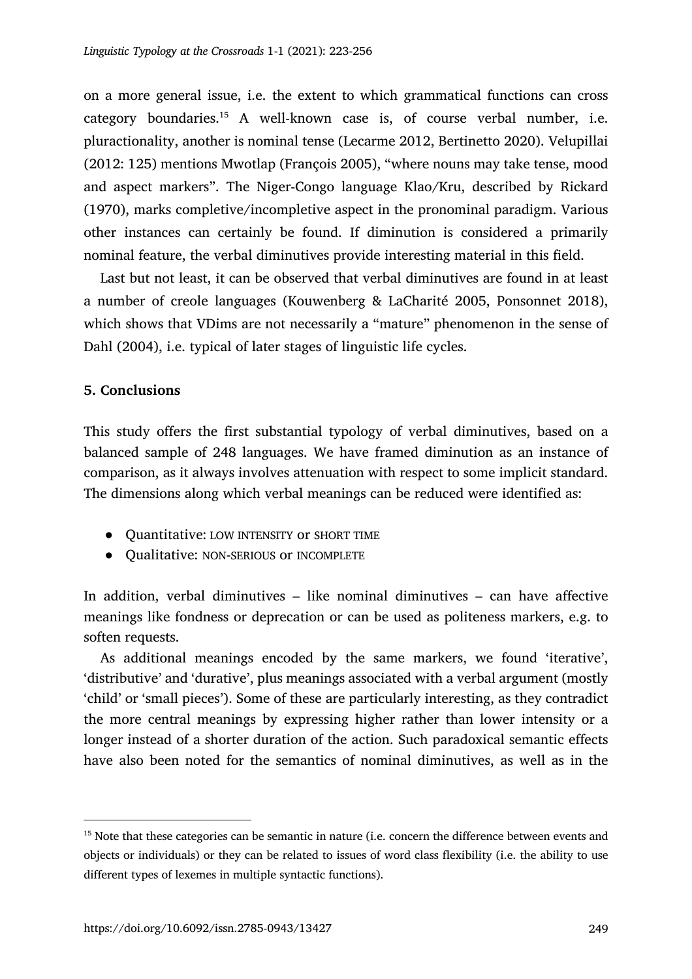on a more general issue, i.e. the extent to which grammatical functions can cross category boundaries.15 A well-known case is, of course verbal number, i.e. pluractionality, another is nominal tense (Lecarme 2012, Bertinetto 2020). Velupillai (2012: 125) mentions Mwotlap (François 2005), "where nouns may take tense, mood and aspect markers". The Niger-Congo language Klao/Kru, described by Rickard (1970), marks completive/incompletive aspect in the pronominal paradigm. Various other instances can certainly be found. If diminution is considered a primarily nominal feature, the verbal diminutives provide interesting material in this field.

Last but not least, it can be observed that verbal diminutives are found in at least a number of creole languages (Kouwenberg & LaCharité 2005, Ponsonnet 2018), which shows that VDims are not necessarily a "mature" phenomenon in the sense of Dahl (2004), i.e. typical of later stages of linguistic life cycles.

### **5. Conclusions**

This study offers the first substantial typology of verbal diminutives, based on a balanced sample of 248 languages. We have framed diminution as an instance of comparison, as it always involves attenuation with respect to some implicit standard. The dimensions along which verbal meanings can be reduced were identified as:

- Quantitative: LOW INTENSITY or SHORT TIME
- Qualitative: NON-SERIOUS or INCOMPLETE

In addition, verbal diminutives – like nominal diminutives – can have affective meanings like fondness or deprecation or can be used as politeness markers, e.g. to soften requests.

As additional meanings encoded by the same markers, we found 'iterative', 'distributive' and 'durative', plus meanings associated with a verbal argument (mostly 'child' or 'small pieces'). Some of these are particularly interesting, as they contradict the more central meanings by expressing higher rather than lower intensity or a longer instead of a shorter duration of the action. Such paradoxical semantic effects have also been noted for the semantics of nominal diminutives, as well as in the

<sup>&</sup>lt;sup>15</sup> Note that these categories can be semantic in nature (i.e. concern the difference between events and objects or individuals) or they can be related to issues of word class flexibility (i.e. the ability to use different types of lexemes in multiple syntactic functions).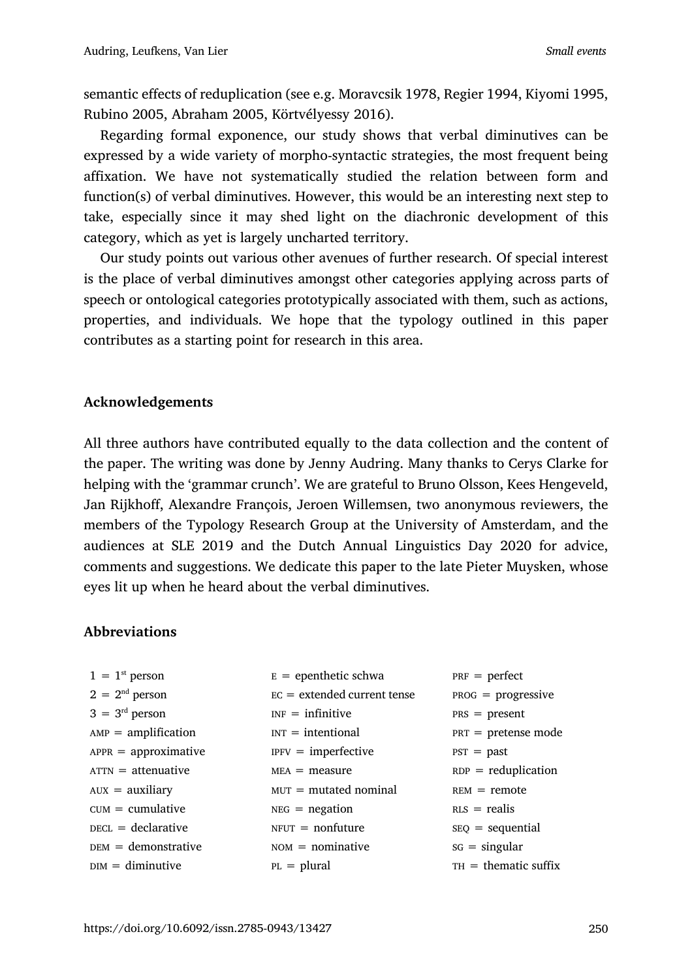semantic effects of reduplication (see e.g. Moravcsik 1978, Regier 1994, Kiyomi 1995, Rubino 2005, Abraham 2005, Körtvélyessy 2016).

Regarding formal exponence, our study shows that verbal diminutives can be expressed by a wide variety of morpho-syntactic strategies, the most frequent being affixation. We have not systematically studied the relation between form and function(s) of verbal diminutives. However, this would be an interesting next step to take, especially since it may shed light on the diachronic development of this category, which as yet is largely uncharted territory.

Our study points out various other avenues of further research. Of special interest is the place of verbal diminutives amongst other categories applying across parts of speech or ontological categories prototypically associated with them, such as actions, properties, and individuals. We hope that the typology outlined in this paper contributes as a starting point for research in this area.

## **Acknowledgements**

All three authors have contributed equally to the data collection and the content of the paper. The writing was done by Jenny Audring. Many thanks to Cerys Clarke for helping with the 'grammar crunch'. We are grateful to Bruno Olsson, Kees Hengeveld, Jan Rijkhoff, Alexandre François, Jeroen Willemsen, two anonymous reviewers, the members of the Typology Research Group at the University of Amsterdam, and the audiences at SLE 2019 and the Dutch Annual Linguistics Day 2020 for advice, comments and suggestions. We dedicate this paper to the late Pieter Muysken, whose eyes lit up when he heard about the verbal diminutives.

## **Abbreviations**

| $1 = 1$ <sup>st</sup> person | $E =$ epenthetic schwa        | $PRF = perfect$        |
|------------------------------|-------------------------------|------------------------|
| $2 = 2nd$ person             | $EC = extended current tense$ | $PROG = progressive$   |
| $3 = 3rd$ person             | $INF =$ infinitive            | $PRS = present$        |
| $AMP = amplification$        | $INT = internal$              | $PRT =$ pretense mode  |
| $APPR = approximative$       | $IPFV = imperfective$         | $PST = past$           |
| $ATTN =$ attenuative         | $MEA = measure$               | $RDP = reduplication$  |
| $AUX = auxiliary$            | $MUT =$ mutated nominal       | $REM = remote$         |
| $CUM = cumulative$           | $NEG = negation$              | $RIS = realis$         |
| $peci = declarative$         | $N$ FUT = nonfuture           | $SEQ = sequential$     |
| $DEM =$ demonstrative        | $NOM = nominative$            | $SG = singular$        |
| $DIM =$ diminutive           | $PL = plural$                 | $TH =$ thematic suffix |
|                              |                               |                        |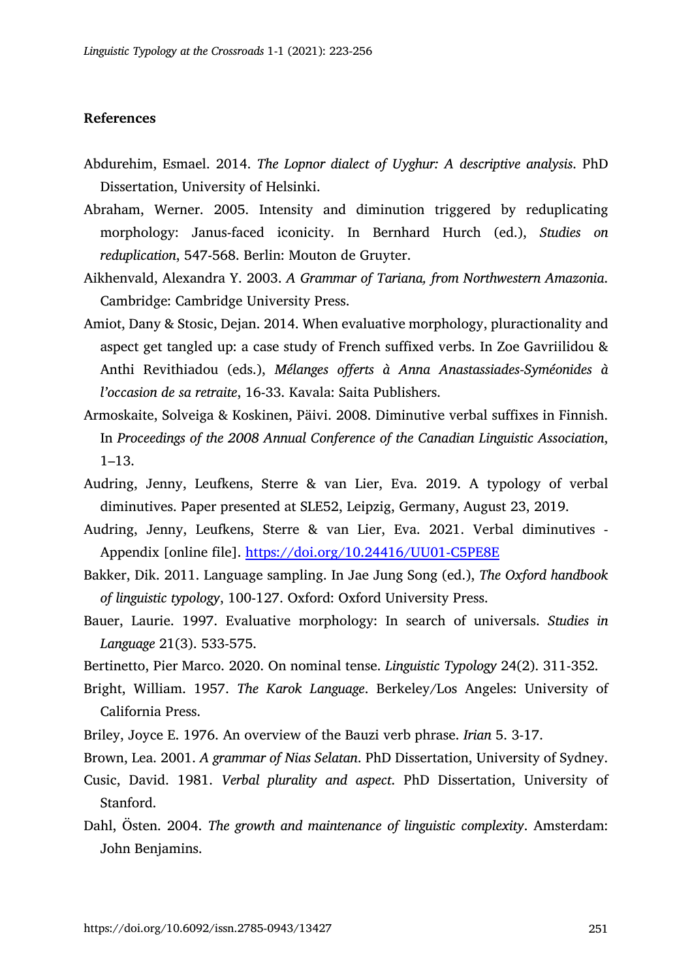#### **References**

- Abdurehim, Esmael. 2014. *The Lopnor dialect of Uyghur: A descriptive analysis*. PhD Dissertation, University of Helsinki.
- Abraham, Werner. 2005. Intensity and diminution triggered by reduplicating morphology: Janus-faced iconicity. In Bernhard Hurch (ed.), *Studies on reduplication*, 547-568. Berlin: Mouton de Gruyter.
- Aikhenvald, Alexandra Y. 2003. *A Grammar of Tariana, from Northwestern Amazonia*. Cambridge: Cambridge University Press.
- Amiot, Dany & Stosic, Dejan. 2014. When evaluative morphology, pluractionality and aspect get tangled up: a case study of French suffixed verbs. In Zoe Gavriilidou & Anthi Revithiadou (eds.), *Mélanges offerts à Anna Anastassiades-Syméonides à l'occasion de sa retraite*, 16-33. Kavala: Saita Publishers.
- Armoskaite, Solveiga & Koskinen, Päivi. 2008. Diminutive verbal suffixes in Finnish. In *Proceedings of the 2008 Annual Conference of the Canadian Linguistic Association*, 1–13.
- Audring, Jenny, Leufkens, Sterre & van Lier, Eva. 2019. A typology of verbal diminutives. Paper presented at SLE52, Leipzig, Germany, August 23, 2019.
- Audring, Jenny, Leufkens, Sterre & van Lier, Eva. 2021. Verbal diminutives Appendix [online file]. https://doi.org/10.24416/UU01-C5PE8E
- Bakker, Dik. 2011. Language sampling. In Jae Jung Song (ed.), *The Oxford handbook of linguistic typology*, 100-127. Oxford: Oxford University Press.
- Bauer, Laurie. 1997. Evaluative morphology: In search of universals. *Studies in Language* 21(3). 533-575.
- Bertinetto, Pier Marco. 2020. On nominal tense. *Linguistic Typology* 24(2). 311-352.
- Bright, William. 1957. *The Karok Language*. Berkeley/Los Angeles: University of California Press.
- Briley, Joyce E. 1976. An overview of the Bauzi verb phrase. *Irian* 5. 3-17.
- Brown, Lea. 2001. *A grammar of Nias Selatan*. PhD Dissertation, University of Sydney.
- Cusic, David. 1981. *Verbal plurality and aspect*. PhD Dissertation, University of Stanford.
- Dahl, Östen. 2004. *The growth and maintenance of linguistic complexity*. Amsterdam: John Benjamins.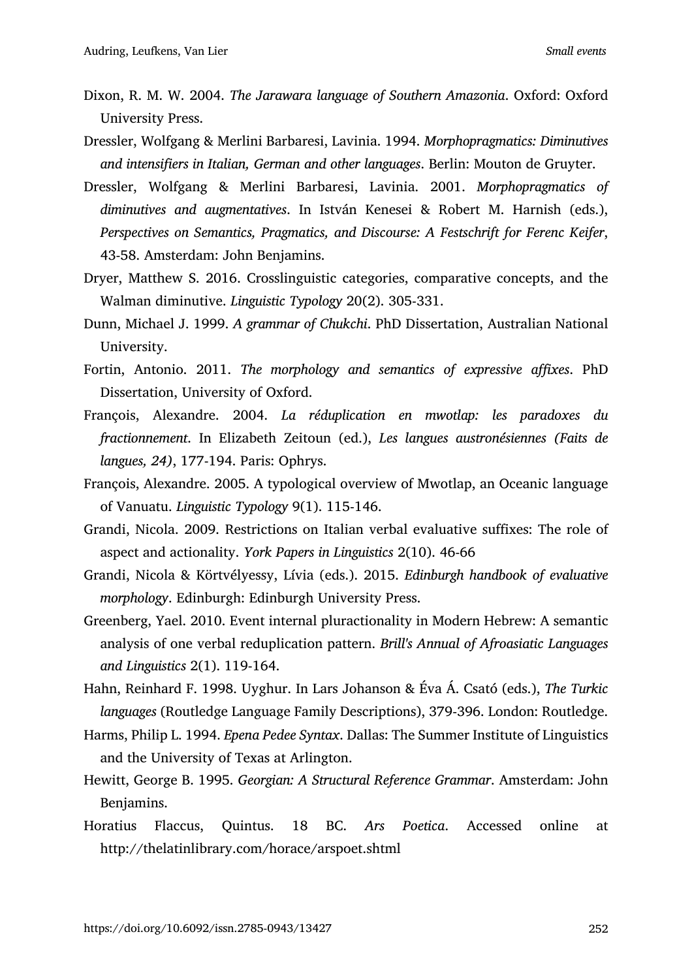- Dixon, R. M. W. 2004. *The Jarawara language of Southern Amazonia*. Oxford: Oxford University Press.
- Dressler, Wolfgang & Merlini Barbaresi, Lavinia. 1994. *Morphopragmatics: Diminutives and intensifiers in Italian, German and other languages*. Berlin: Mouton de Gruyter.
- Dressler, Wolfgang & Merlini Barbaresi, Lavinia. 2001. *Morphopragmatics of diminutives and augmentatives*. In István Kenesei & Robert M. Harnish (eds.), *Perspectives on Semantics, Pragmatics, and Discourse: A Festschrift for Ferenc Keifer*, 43-58. Amsterdam: John Benjamins.
- Dryer, Matthew S. 2016. Crosslinguistic categories, comparative concepts, and the Walman diminutive. *Linguistic Typology* 20(2). 305-331.
- Dunn, Michael J. 1999. *A grammar of Chukchi*. PhD Dissertation, Australian National University.
- Fortin, Antonio. 2011. *The morphology and semantics of expressive affixes*. PhD Dissertation, University of Oxford.
- François, Alexandre. 2004. *La réduplication en mwotlap: les paradoxes du fractionnement*. In Elizabeth Zeitoun (ed.), *Les langues austronésiennes (Faits de langues, 24)*, 177-194. Paris: Ophrys.
- François, Alexandre. 2005. A typological overview of Mwotlap, an Oceanic language of Vanuatu. *Linguistic Typology* 9(1). 115-146.
- Grandi, Nicola. 2009. Restrictions on Italian verbal evaluative suffixes: The role of aspect and actionality. *York Papers in Linguistics* 2(10). 46-66
- Grandi, Nicola & Körtvélyessy, Lívia (eds.). 2015. *Edinburgh handbook of evaluative morphology*. Edinburgh: Edinburgh University Press.
- Greenberg, Yael. 2010. Event internal pluractionality in Modern Hebrew: A semantic analysis of one verbal reduplication pattern. *Brill's Annual of Afroasiatic Languages and Linguistics* 2(1). 119-164.
- Hahn, Reinhard F. 1998. Uyghur. In Lars Johanson & Éva Á. Csató (eds.), *The Turkic languages* (Routledge Language Family Descriptions), 379-396. London: Routledge.
- Harms, Philip L. 1994. *Epena Pedee Syntax*. Dallas: The Summer Institute of Linguistics and the University of Texas at Arlington.
- Hewitt, George B. 1995. *Georgian: A Structural Reference Grammar*. Amsterdam: John Benjamins.
- Horatius Flaccus, Quintus. 18 BC. *Ars Poetica*. Accessed online at http://thelatinlibrary.com/horace/arspoet.shtml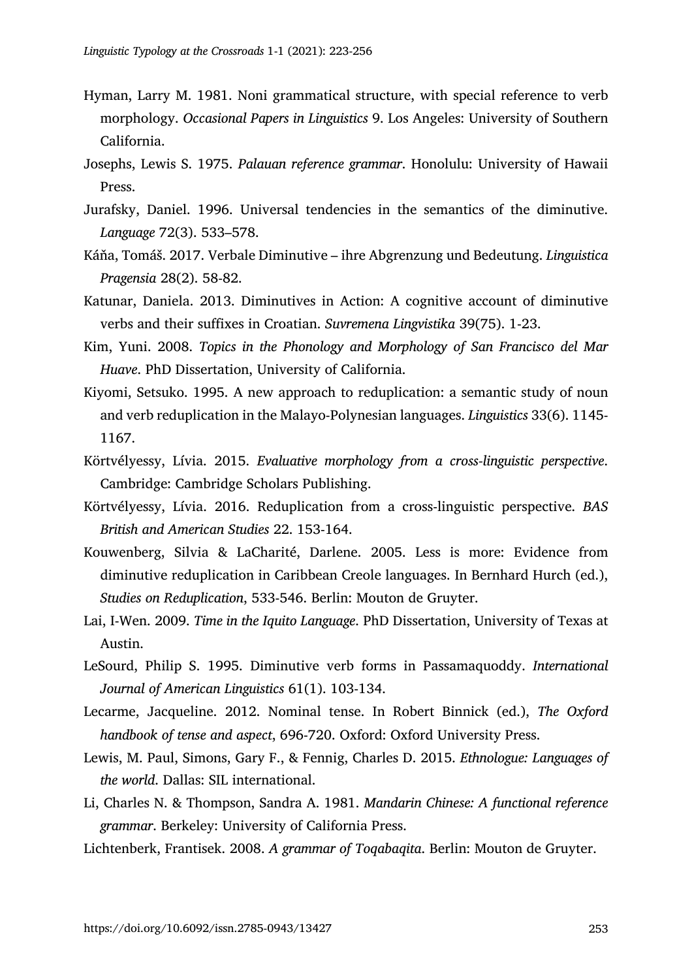- Hyman, Larry M. 1981. Noni grammatical structure, with special reference to verb morphology. *Occasional Papers in Linguistics* 9. Los Angeles: University of Southern California.
- Josephs, Lewis S. 1975. *Palauan reference grammar*. Honolulu: University of Hawaii Press.
- Jurafsky, Daniel. 1996. Universal tendencies in the semantics of the diminutive. *Language* 72(3). 533–578.
- Káňa, Tomáš. 2017. Verbale Diminutive ihre Abgrenzung und Bedeutung. *Linguistica Pragensia* 28(2). 58-82.
- Katunar, Daniela. 2013. Diminutives in Action: A cognitive account of diminutive verbs and their suffixes in Croatian. *Suvremena Lingvistika* 39(75). 1-23.
- Kim, Yuni. 2008. *Topics in the Phonology and Morphology of San Francisco del Mar Huave*. PhD Dissertation, University of California.
- Kiyomi, Setsuko. 1995. A new approach to reduplication: a semantic study of noun and verb reduplication in the Malayo-Polynesian languages. *Linguistics* 33(6). 1145- 1167.
- Körtvélyessy, Lívia. 2015. *Evaluative morphology from a cross-linguistic perspective*. Cambridge: Cambridge Scholars Publishing.
- Körtvélyessy, Lívia. 2016. Reduplication from a cross-linguistic perspective. *BAS British and American Studies* 22. 153-164.
- Kouwenberg, Silvia & LaCharité, Darlene. 2005. Less is more: Evidence from diminutive reduplication in Caribbean Creole languages. In Bernhard Hurch (ed.), *Studies on Reduplication*, 533-546. Berlin: Mouton de Gruyter.
- Lai, I-Wen. 2009. *Time in the Iquito Language*. PhD Dissertation, University of Texas at Austin.
- LeSourd, Philip S. 1995. Diminutive verb forms in Passamaquoddy. *International Journal of American Linguistics* 61(1). 103-134.
- Lecarme, Jacqueline. 2012. Nominal tense. In Robert Binnick (ed.), *The Oxford handbook of tense and aspect*, 696-720. Oxford: Oxford University Press.
- Lewis, M. Paul, Simons, Gary F., & Fennig, Charles D. 2015. *Ethnologue: Languages of the world*. Dallas: SIL international.
- Li, Charles N. & Thompson, Sandra A. 1981. *Mandarin Chinese: A functional reference grammar*. Berkeley: University of California Press.
- Lichtenberk, Frantisek. 2008. *A grammar of Toqabaqita*. Berlin: Mouton de Gruyter.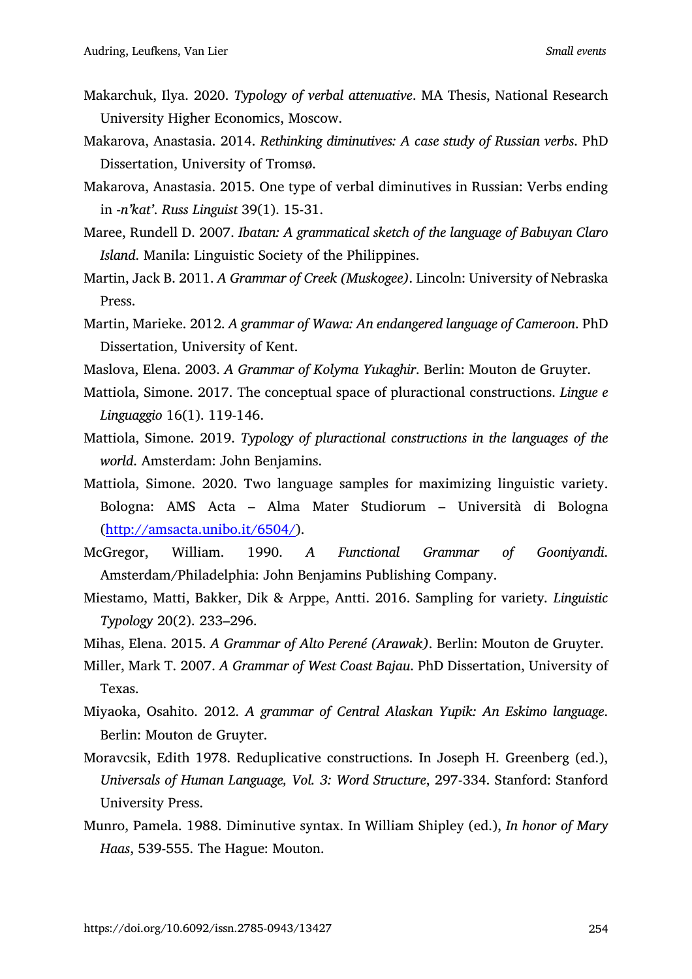- Makarchuk, Ilya. 2020. *Typology of verbal attenuative*. MA Thesis, National Research University Higher Economics, Moscow.
- Makarova, Anastasia. 2014. *Rethinking diminutives: A case study of Russian verbs*. PhD Dissertation, University of Tromsø.
- Makarova, Anastasia. 2015. One type of verbal diminutives in Russian: Verbs ending in *-n'kat'*. *Russ Linguist* 39(1). 15-31.
- Maree, Rundell D. 2007. *Ibatan: A grammatical sketch of the language of Babuyan Claro Island*. Manila: Linguistic Society of the Philippines.
- Martin, Jack B. 2011. *A Grammar of Creek (Muskogee)*. Lincoln: University of Nebraska Press.
- Martin, Marieke. 2012. *A grammar of Wawa: An endangered language of Cameroon*. PhD Dissertation, University of Kent.
- Maslova, Elena. 2003. *A Grammar of Kolyma Yukaghir*. Berlin: Mouton de Gruyter.
- Mattiola, Simone. 2017. The conceptual space of pluractional constructions. *Lingue e Linguaggio* 16(1). 119-146.
- Mattiola, Simone. 2019. *Typology of pluractional constructions in the languages of the world*. Amsterdam: John Benjamins.
- Mattiola, Simone. 2020. Two language samples for maximizing linguistic variety. Bologna: AMS Acta – Alma Mater Studiorum – Università di Bologna (http://amsacta.unibo.it/6504/).
- McGregor, William. 1990. *A Functional Grammar of Gooniyandi*. Amsterdam/Philadelphia: John Benjamins Publishing Company.
- Miestamo, Matti, Bakker, Dik & Arppe, Antti. 2016. Sampling for variety*. Linguistic Typology* 20(2). 233–296.
- Mihas, Elena. 2015. *A Grammar of Alto Perené (Arawak)*. Berlin: Mouton de Gruyter.
- Miller, Mark T. 2007. *A Grammar of West Coast Bajau*. PhD Dissertation, University of Texas.
- Miyaoka, Osahito. 2012. *A grammar of Central Alaskan Yupik: An Eskimo language*. Berlin: Mouton de Gruyter.
- Moravcsik, Edith 1978. Reduplicative constructions. In Joseph H. Greenberg (ed.), *Universals of Human Language, Vol. 3: Word Structure*, 297-334. Stanford: Stanford University Press.
- Munro, Pamela. 1988. Diminutive syntax. In William Shipley (ed.), *In honor of Mary Haas*, 539-555. The Hague: Mouton.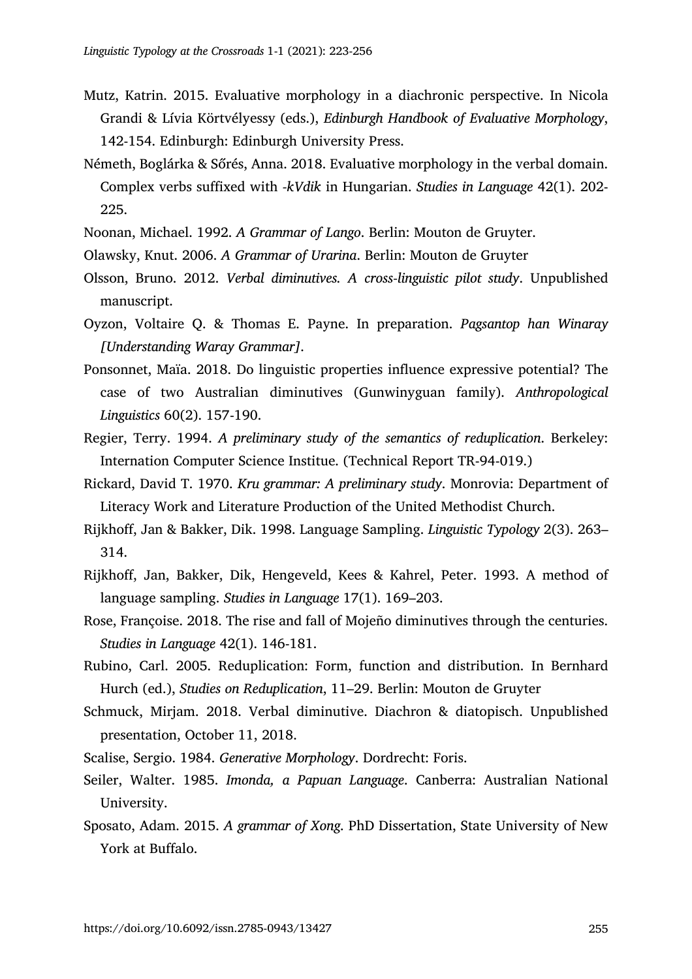- Mutz, Katrin. 2015. Evaluative morphology in a diachronic perspective. In Nicola Grandi & Lívia Körtvélyessy (eds.), *Edinburgh Handbook of Evaluative Morphology*, 142-154. Edinburgh: Edinburgh University Press.
- Németh, Boglárka & Sőrés, Anna. 2018. Evaluative morphology in the verbal domain. Complex verbs suffixed with *-kVdik* in Hungarian. *Studies in Language* 42(1). 202- 225.
- Noonan, Michael. 1992. *A Grammar of Lango*. Berlin: Mouton de Gruyter.
- Olawsky, Knut. 2006. *A Grammar of Urarina*. Berlin: Mouton de Gruyter
- Olsson, Bruno. 2012. *Verbal diminutives. A cross-linguistic pilot study*. Unpublished manuscript.
- Oyzon, Voltaire Q. & Thomas E. Payne. In preparation. *Pagsantop han Winaray [Understanding Waray Grammar]*.
- Ponsonnet, Maïa. 2018. Do linguistic properties influence expressive potential? The case of two Australian diminutives (Gunwinyguan family). *Anthropological Linguistics* 60(2). 157-190.
- Regier, Terry. 1994. *A preliminary study of the semantics of reduplication*. Berkeley: Internation Computer Science Institue. (Technical Report TR-94-019.)
- Rickard, David T. 1970. *Kru grammar: A preliminary study*. Monrovia: Department of Literacy Work and Literature Production of the United Methodist Church.
- Rijkhoff, Jan & Bakker, Dik. 1998. Language Sampling. *Linguistic Typology* 2(3). 263– 314.
- Rijkhoff, Jan, Bakker, Dik, Hengeveld, Kees & Kahrel, Peter. 1993. A method of language sampling. *Studies in Language* 17(1). 169–203.
- Rose, Françoise. 2018. The rise and fall of Mojeño diminutives through the centuries. *Studies in Language* 42(1). 146-181.
- Rubino, Carl. 2005. Reduplication: Form, function and distribution. In Bernhard Hurch (ed.), *Studies on Reduplication*, 11–29. Berlin: Mouton de Gruyter
- Schmuck, Mirjam. 2018. Verbal diminutive. Diachron & diatopisch. Unpublished presentation, October 11, 2018.
- Scalise, Sergio. 1984. *Generative Morphology*. Dordrecht: Foris.
- Seiler, Walter. 1985. *Imonda, a Papuan Language*. Canberra: Australian National University.
- Sposato, Adam. 2015. *A grammar of Xong*. PhD Dissertation, State University of New York at Buffalo.